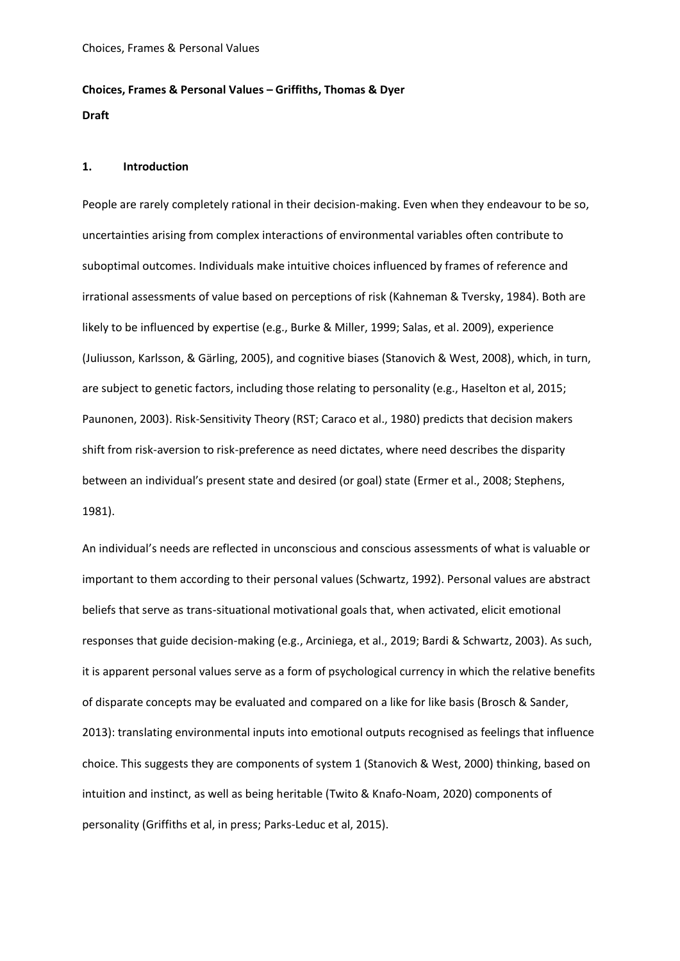# **Choices, Frames & Personal Values – Griffiths, Thomas & Dyer Draft**

# **1. Introduction**

People are rarely completely rational in their decision-making. Even when they endeavour to be so, uncertainties arising from complex interactions of environmental variables often contribute to suboptimal outcomes. Individuals make intuitive choices influenced by frames of reference and irrational assessments of value based on perceptions of risk (Kahneman & Tversky, 1984). Both are likely to be influenced by expertise (e.g., Burke & Miller, 1999; Salas, et al. 2009), experience (Juliusson, Karlsson, & Gӓrling, 2005), and cognitive biases (Stanovich & West, 2008), which, in turn, are subject to genetic factors, including those relating to personality (e.g., Haselton et al, 2015; Paunonen, 2003). Risk-Sensitivity Theory (RST; Caraco et al., 1980) predicts that decision makers shift from risk-aversion to risk-preference as need dictates, where need describes the disparity between an individual's present state and desired (or goal) state (Ermer et al., 2008; Stephens, 1981).

An individual's needs are reflected in unconscious and conscious assessments of what is valuable or important to them according to their personal values (Schwartz, 1992). Personal values are abstract beliefs that serve as trans-situational motivational goals that, when activated, elicit emotional responses that guide decision-making (e.g., Arciniega, et al., 2019; Bardi & Schwartz, 2003). As such, it is apparent personal values serve as a form of psychological currency in which the relative benefits of disparate concepts may be evaluated and compared on a like for like basis (Brosch & Sander, 2013): translating environmental inputs into emotional outputs recognised as feelings that influence choice. This suggests they are components of system 1 (Stanovich & West, 2000) thinking, based on intuition and instinct, as well as being heritable (Twito & Knafo-Noam, 2020) components of personality (Griffiths et al, in press; Parks-Leduc et al, 2015).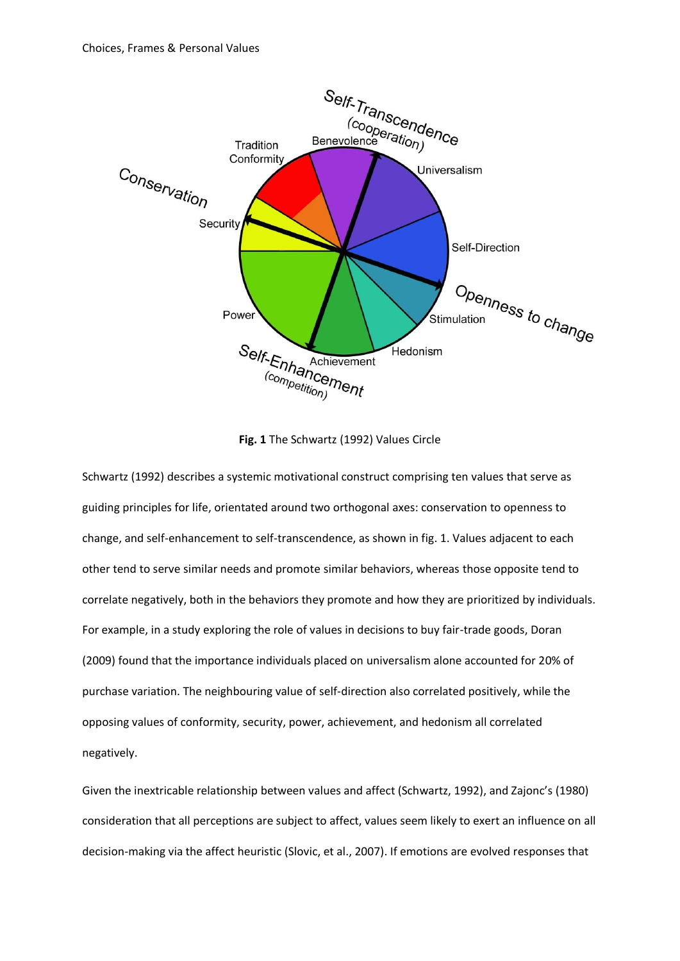

**Fig. 1** The Schwartz (1992) Values Circle

Schwartz (1992) describes a systemic motivational construct comprising ten values that serve as guiding principles for life, orientated around two orthogonal axes: conservation to openness to change, and self-enhancement to self-transcendence, as shown in fig. 1. Values adjacent to each other tend to serve similar needs and promote similar behaviors, whereas those opposite tend to correlate negatively, both in the behaviors they promote and how they are prioritized by individuals. For example, in a study exploring the role of values in decisions to buy fair-trade goods, Doran (2009) found that the importance individuals placed on universalism alone accounted for 20% of purchase variation. The neighbouring value of self-direction also correlated positively, while the opposing values of conformity, security, power, achievement, and hedonism all correlated negatively.

Given the inextricable relationship between values and affect (Schwartz, 1992), and Zajonc's (1980) consideration that all perceptions are subject to affect, values seem likely to exert an influence on all decision-making via the affect heuristic (Slovic, et al., 2007). If emotions are evolved responses that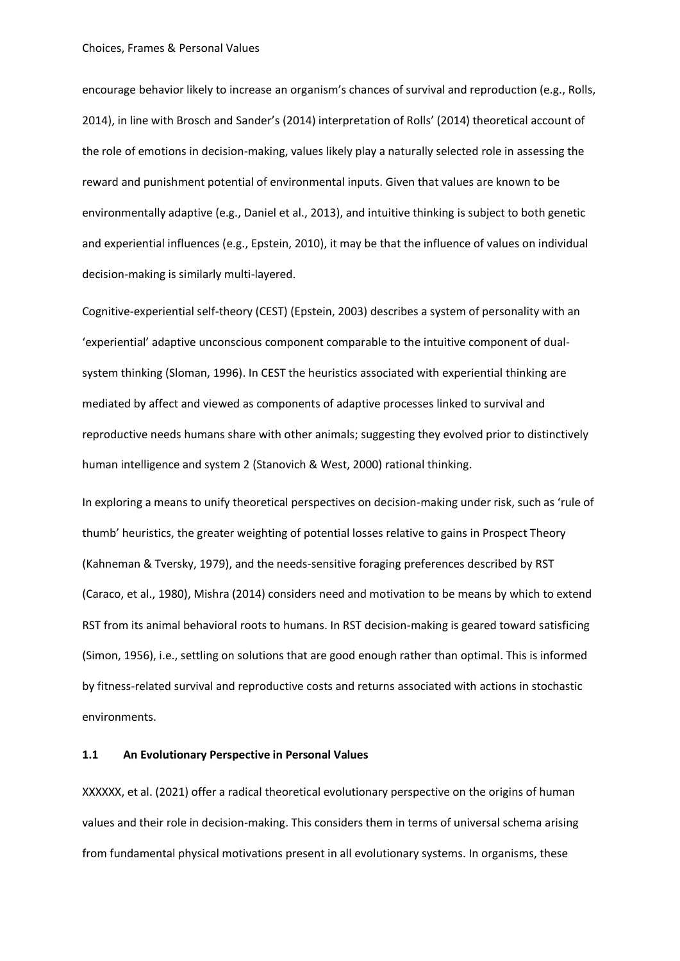encourage behavior likely to increase an organism's chances of survival and reproduction (e.g., Rolls, 2014), in line with Brosch and Sander's (2014) interpretation of Rolls' (2014) theoretical account of the role of emotions in decision-making, values likely play a naturally selected role in assessing the reward and punishment potential of environmental inputs. Given that values are known to be environmentally adaptive (e.g., Daniel et al., 2013), and intuitive thinking is subject to both genetic and experiential influences (e.g., Epstein, 2010), it may be that the influence of values on individual decision-making is similarly multi-layered.

Cognitive-experiential self-theory (CEST) (Epstein, 2003) describes a system of personality with an 'experiential' adaptive unconscious component comparable to the intuitive component of dualsystem thinking (Sloman, 1996). In CEST the heuristics associated with experiential thinking are mediated by affect and viewed as components of adaptive processes linked to survival and reproductive needs humans share with other animals; suggesting they evolved prior to distinctively human intelligence and system 2 (Stanovich & West, 2000) rational thinking.

In exploring a means to unify theoretical perspectives on decision-making under risk, such as 'rule of thumb' heuristics, the greater weighting of potential losses relative to gains in Prospect Theory (Kahneman & Tversky, 1979), and the needs-sensitive foraging preferences described by RST (Caraco, et al., 1980), Mishra (2014) considers need and motivation to be means by which to extend RST from its animal behavioral roots to humans. In RST decision-making is geared toward satisficing (Simon, 1956), i.e., settling on solutions that are good enough rather than optimal. This is informed by fitness-related survival and reproductive costs and returns associated with actions in stochastic environments.

# **1.1 An Evolutionary Perspective in Personal Values**

XXXXXX, et al. (2021) offer a radical theoretical evolutionary perspective on the origins of human values and their role in decision-making. This considers them in terms of universal schema arising from fundamental physical motivations present in all evolutionary systems. In organisms, these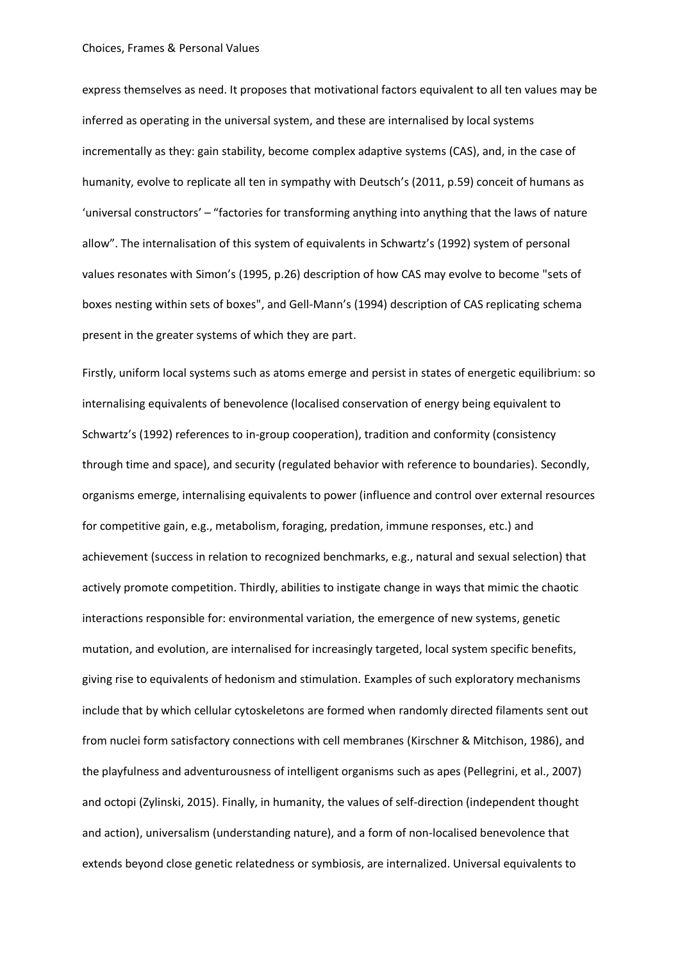express themselves as need. It proposes that motivational factors equivalent to all ten values may be inferred as operating in the universal system, and these are internalised by local systems incrementally as they: gain stability, become complex adaptive systems (CAS), and, in the case of humanity, evolve to replicate all ten in sympathy with Deutsch's (2011, p.59) conceit of humans as 'universal constructors' – "factories for transforming anything into anything that the laws of nature allow". The internalisation of this system of equivalents in Schwartz's (1992) system of personal values resonates with Simon's (1995, p.26) description of how CAS may evolve to become "sets of boxes nesting within sets of boxes", and Gell-Mann's (1994) description of CAS replicating schema present in the greater systems of which they are part.

Firstly, uniform local systems such as atoms emerge and persist in states of energetic equilibrium: so internalising equivalents of benevolence (localised conservation of energy being equivalent to Schwartz's (1992) references to in-group cooperation), tradition and conformity (consistency through time and space), and security (regulated behavior with reference to boundaries). Secondly, organisms emerge, internalising equivalents to power (influence and control over external resources for competitive gain, e.g., metabolism, foraging, predation, immune responses, etc.) and achievement (success in relation to recognized benchmarks, e.g., natural and sexual selection) that actively promote competition. Thirdly, abilities to instigate change in ways that mimic the chaotic interactions responsible for: environmental variation, the emergence of new systems, genetic mutation, and evolution, are internalised for increasingly targeted, local system specific benefits, giving rise to equivalents of hedonism and stimulation. Examples of such exploratory mechanisms include that by which cellular cytoskeletons are formed when randomly directed filaments sent out from nuclei form satisfactory connections with cell membranes (Kirschner & Mitchison, 1986), and the playfulness and adventurousness of intelligent organisms such as apes (Pellegrini, et al., 2007) and octopi (Zylinski, 2015). Finally, in humanity, the values of self-direction (independent thought and action), universalism (understanding nature), and a form of non-localised benevolence that extends beyond close genetic relatedness or symbiosis, are internalized. Universal equivalents to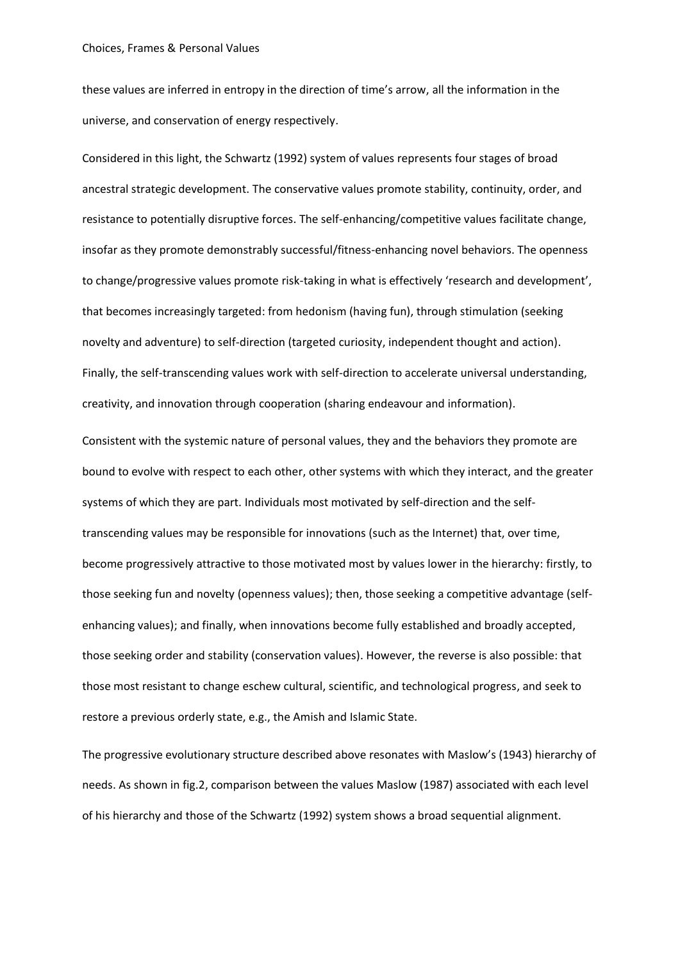these values are inferred in entropy in the direction of time's arrow, all the information in the universe, and conservation of energy respectively.

Considered in this light, the Schwartz (1992) system of values represents four stages of broad ancestral strategic development. The conservative values promote stability, continuity, order, and resistance to potentially disruptive forces. The self-enhancing/competitive values facilitate change, insofar as they promote demonstrably successful/fitness-enhancing novel behaviors. The openness to change/progressive values promote risk-taking in what is effectively 'research and development', that becomes increasingly targeted: from hedonism (having fun), through stimulation (seeking novelty and adventure) to self-direction (targeted curiosity, independent thought and action). Finally, the self-transcending values work with self-direction to accelerate universal understanding, creativity, and innovation through cooperation (sharing endeavour and information).

Consistent with the systemic nature of personal values, they and the behaviors they promote are bound to evolve with respect to each other, other systems with which they interact, and the greater systems of which they are part. Individuals most motivated by self-direction and the selftranscending values may be responsible for innovations (such as the Internet) that, over time, become progressively attractive to those motivated most by values lower in the hierarchy: firstly, to those seeking fun and novelty (openness values); then, those seeking a competitive advantage (selfenhancing values); and finally, when innovations become fully established and broadly accepted, those seeking order and stability (conservation values). However, the reverse is also possible: that those most resistant to change eschew cultural, scientific, and technological progress, and seek to restore a previous orderly state, e.g., the Amish and Islamic State.

The progressive evolutionary structure described above resonates with Maslow's (1943) hierarchy of needs. As shown in fig.2, comparison between the values Maslow (1987) associated with each level of his hierarchy and those of the Schwartz (1992) system shows a broad sequential alignment.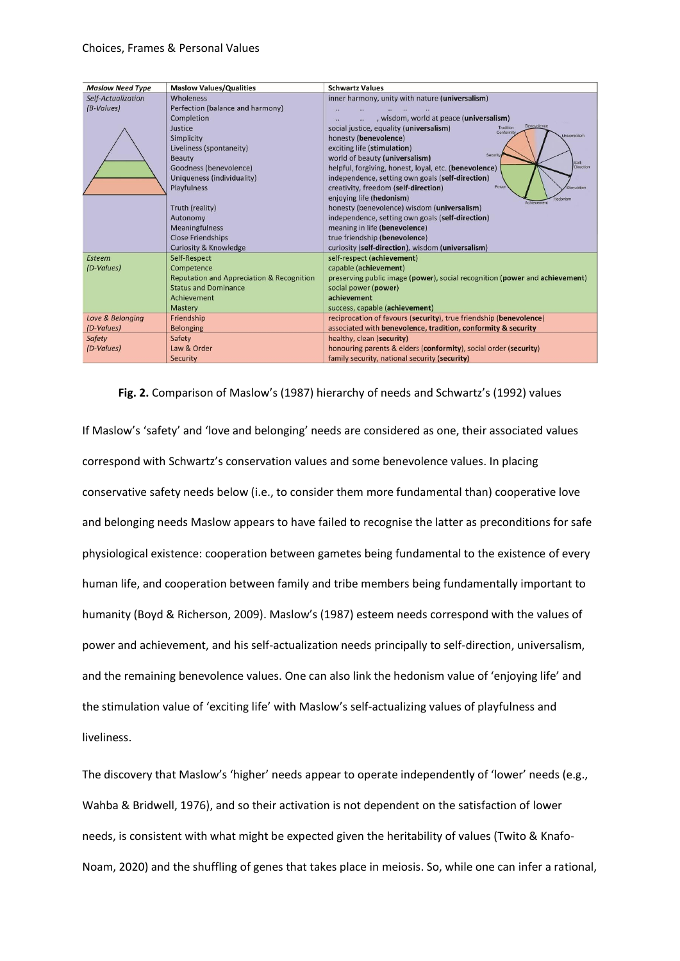| <b>Maslow Need Type</b> | <b>Maslow Values/Qualities</b>                       | <b>Schwartz Values</b>                                                           |
|-------------------------|------------------------------------------------------|----------------------------------------------------------------------------------|
| Self-Actualization      | Wholeness                                            | inner harmony, unity with nature (universalism)                                  |
| (B-Values)              | Perfection (balance and harmony)                     |                                                                                  |
|                         | Completion                                           | , wisdom, world at peace (universalism)                                          |
|                         | Justice                                              | Benevolence<br>social justice, equality (universalism)<br>Tradition<br>Conformit |
|                         | Simplicity                                           | Universalism<br>honesty (benevolence)                                            |
|                         | Liveliness (spontaneity)                             | exciting life (stimulation)                                                      |
|                         | <b>Beauty</b>                                        | Security<br>world of beauty (universalism)<br>Self-                              |
|                         | Goodness (benevolence)                               | helpful, forgiving, honest, loyal, etc. (benevolence)<br>Direction               |
|                         | Uniqueness (individuality)                           | independence, setting own goals (self-direction)                                 |
|                         | Playfulness                                          | Powe<br>creativity, freedom (self-direction)<br>mulation                         |
|                         |                                                      | enjoying life (hedonism)<br>Achievemen                                           |
|                         | Truth (reality)                                      | honesty (benevolence) wisdom (universalism)                                      |
|                         | Autonomy                                             | independence, setting own goals (self-direction)                                 |
|                         | <b>Meaningfulness</b>                                | meaning in life (benevolence)                                                    |
|                         | <b>Close Friendships</b>                             | true friendship (benevolence)                                                    |
|                         | <b>Curiosity &amp; Knowledge</b>                     | curiosity (self-direction), wisdom (universalism)                                |
| Esteem                  | Self-Respect                                         | self-respect (achievement)                                                       |
| (D-Values)              | Competence                                           | capable (achievement)                                                            |
|                         | <b>Reputation and Appreciation &amp; Recognition</b> | preserving public image (power), social recognition (power and achievement)      |
|                         | <b>Status and Dominance</b>                          | social power (power)                                                             |
|                         | Achievement                                          | achievement                                                                      |
|                         | Mastery                                              | success, capable (achievement)                                                   |
| Love & Belonging        | Friendship                                           | reciprocation of favours (security), true friendship (benevolence)               |
| (D-Values)              | <b>Belonging</b>                                     | associated with benevolence, tradition, conformity & security                    |
| Safety                  | Safety                                               | healthy, clean (security)                                                        |
| (D-Values)              | Law & Order                                          | honouring parents & elders (conformity), social order (security)                 |
|                         | Security                                             | family security, national security (security)                                    |

# **Fig. 2.** Comparison of Maslow's (1987) hierarchy of needs and Schwartz's (1992) values

If Maslow's 'safety' and 'love and belonging' needs are considered as one, their associated values correspond with Schwartz's conservation values and some benevolence values. In placing conservative safety needs below (i.e., to consider them more fundamental than) cooperative love and belonging needs Maslow appears to have failed to recognise the latter as preconditions for safe physiological existence: cooperation between gametes being fundamental to the existence of every human life, and cooperation between family and tribe members being fundamentally important to humanity (Boyd & Richerson, 2009). Maslow's (1987) esteem needs correspond with the values of power and achievement, and his self-actualization needs principally to self-direction, universalism, and the remaining benevolence values. One can also link the hedonism value of 'enjoying life' and the stimulation value of 'exciting life' with Maslow's self-actualizing values of playfulness and liveliness.

The discovery that Maslow's 'higher' needs appear to operate independently of 'lower' needs (e.g., Wahba & Bridwell, 1976), and so their activation is not dependent on the satisfaction of lower needs, is consistent with what might be expected given the heritability of values (Twito & Knafo-Noam, 2020) and the shuffling of genes that takes place in meiosis. So, while one can infer a rational,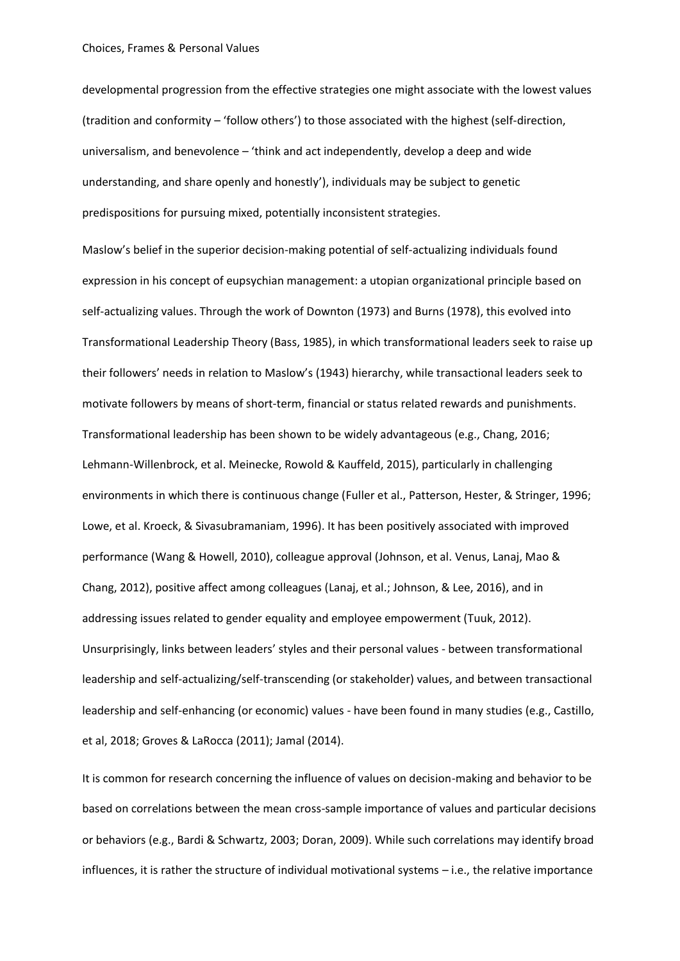developmental progression from the effective strategies one might associate with the lowest values (tradition and conformity – 'follow others') to those associated with the highest (self-direction, universalism, and benevolence – 'think and act independently, develop a deep and wide understanding, and share openly and honestly'), individuals may be subject to genetic predispositions for pursuing mixed, potentially inconsistent strategies.

Maslow's belief in the superior decision-making potential of self-actualizing individuals found expression in his concept of eupsychian management: a utopian organizational principle based on self-actualizing values. Through the work of Downton (1973) and Burns (1978), this evolved into Transformational Leadership Theory (Bass, 1985), in which transformational leaders seek to raise up their followers' needs in relation to Maslow's (1943) hierarchy, while transactional leaders seek to motivate followers by means of short-term, financial or status related rewards and punishments. Transformational leadership has been shown to be widely advantageous (e.g., Chang, 2016; Lehmann-Willenbrock, et al. Meinecke, Rowold & Kauffeld, 2015), particularly in challenging environments in which there is continuous change (Fuller et al., Patterson, Hester, & Stringer, 1996; Lowe, et al. Kroeck, & Sivasubramaniam, 1996). It has been positively associated with improved performance (Wang & Howell, 2010), colleague approval (Johnson, et al. Venus, Lanaj, Mao & Chang, 2012), positive affect among colleagues (Lanaj, et al.; Johnson, & Lee, 2016), and in addressing issues related to gender equality and employee empowerment (Tuuk, 2012). Unsurprisingly, links between leaders' styles and their personal values - between transformational leadership and self-actualizing/self-transcending (or stakeholder) values, and between transactional leadership and self-enhancing (or economic) values - have been found in many studies (e.g., Castillo, et al, 2018; Groves & LaRocca (2011); Jamal (2014).

It is common for research concerning the influence of values on decision-making and behavior to be based on correlations between the mean cross-sample importance of values and particular decisions or behaviors (e.g., Bardi & Schwartz, 2003; Doran, 2009). While such correlations may identify broad influences, it is rather the structure of individual motivational systems – i.e., the relative importance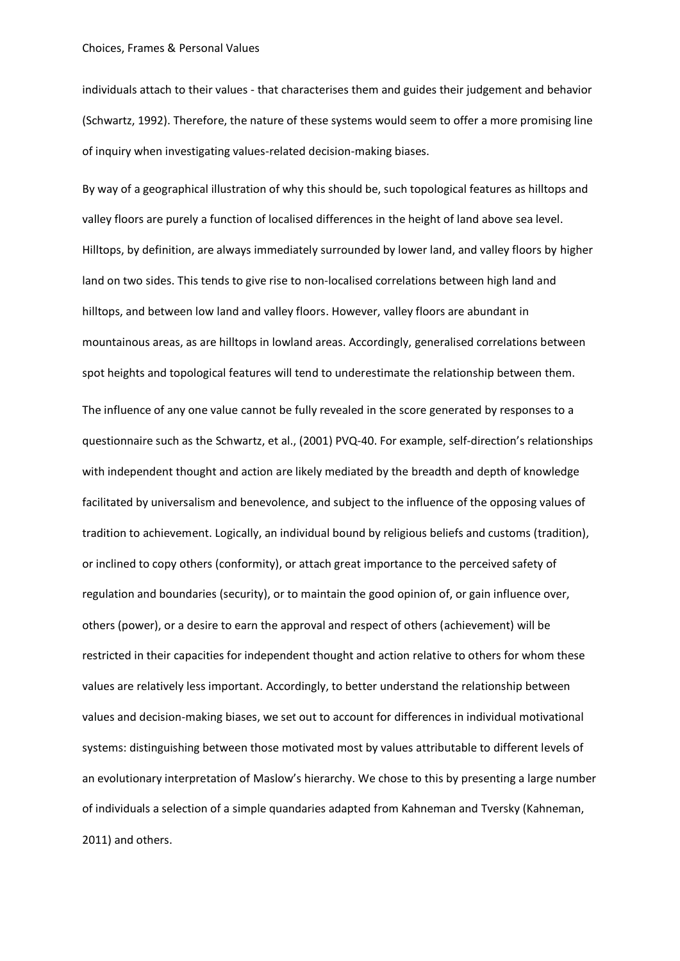individuals attach to their values - that characterises them and guides their judgement and behavior (Schwartz, 1992). Therefore, the nature of these systems would seem to offer a more promising line of inquiry when investigating values-related decision-making biases.

By way of a geographical illustration of why this should be, such topological features as hilltops and valley floors are purely a function of localised differences in the height of land above sea level. Hilltops, by definition, are always immediately surrounded by lower land, and valley floors by higher land on two sides. This tends to give rise to non-localised correlations between high land and hilltops, and between low land and valley floors. However, valley floors are abundant in mountainous areas, as are hilltops in lowland areas. Accordingly, generalised correlations between spot heights and topological features will tend to underestimate the relationship between them.

The influence of any one value cannot be fully revealed in the score generated by responses to a questionnaire such as the Schwartz, et al., (2001) PVQ-40. For example, self-direction's relationships with independent thought and action are likely mediated by the breadth and depth of knowledge facilitated by universalism and benevolence, and subject to the influence of the opposing values of tradition to achievement. Logically, an individual bound by religious beliefs and customs (tradition), or inclined to copy others (conformity), or attach great importance to the perceived safety of regulation and boundaries (security), or to maintain the good opinion of, or gain influence over, others (power), or a desire to earn the approval and respect of others (achievement) will be restricted in their capacities for independent thought and action relative to others for whom these values are relatively less important. Accordingly, to better understand the relationship between values and decision-making biases, we set out to account for differences in individual motivational systems: distinguishing between those motivated most by values attributable to different levels of an evolutionary interpretation of Maslow's hierarchy. We chose to this by presenting a large number of individuals a selection of a simple quandaries adapted from Kahneman and Tversky (Kahneman, 2011) and others.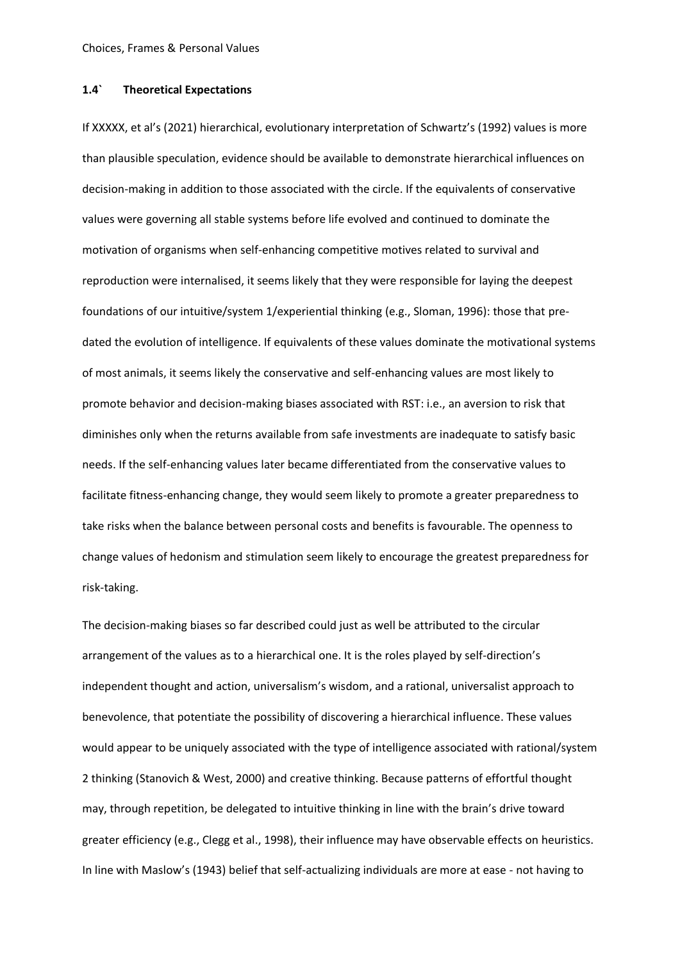# **1.4` Theoretical Expectations**

If XXXXX, et al's (2021) hierarchical, evolutionary interpretation of Schwartz's (1992) values is more than plausible speculation, evidence should be available to demonstrate hierarchical influences on decision-making in addition to those associated with the circle. If the equivalents of conservative values were governing all stable systems before life evolved and continued to dominate the motivation of organisms when self-enhancing competitive motives related to survival and reproduction were internalised, it seems likely that they were responsible for laying the deepest foundations of our intuitive/system 1/experiential thinking (e.g., Sloman, 1996): those that predated the evolution of intelligence. If equivalents of these values dominate the motivational systems of most animals, it seems likely the conservative and self-enhancing values are most likely to promote behavior and decision-making biases associated with RST: i.e., an aversion to risk that diminishes only when the returns available from safe investments are inadequate to satisfy basic needs. If the self-enhancing values later became differentiated from the conservative values to facilitate fitness-enhancing change, they would seem likely to promote a greater preparedness to take risks when the balance between personal costs and benefits is favourable. The openness to change values of hedonism and stimulation seem likely to encourage the greatest preparedness for risk-taking.

The decision-making biases so far described could just as well be attributed to the circular arrangement of the values as to a hierarchical one. It is the roles played by self-direction's independent thought and action, universalism's wisdom, and a rational, universalist approach to benevolence, that potentiate the possibility of discovering a hierarchical influence. These values would appear to be uniquely associated with the type of intelligence associated with rational/system 2 thinking (Stanovich & West, 2000) and creative thinking. Because patterns of effortful thought may, through repetition, be delegated to intuitive thinking in line with the brain's drive toward greater efficiency (e.g., Clegg et al., 1998), their influence may have observable effects on heuristics. In line with Maslow's (1943) belief that self-actualizing individuals are more at ease - not having to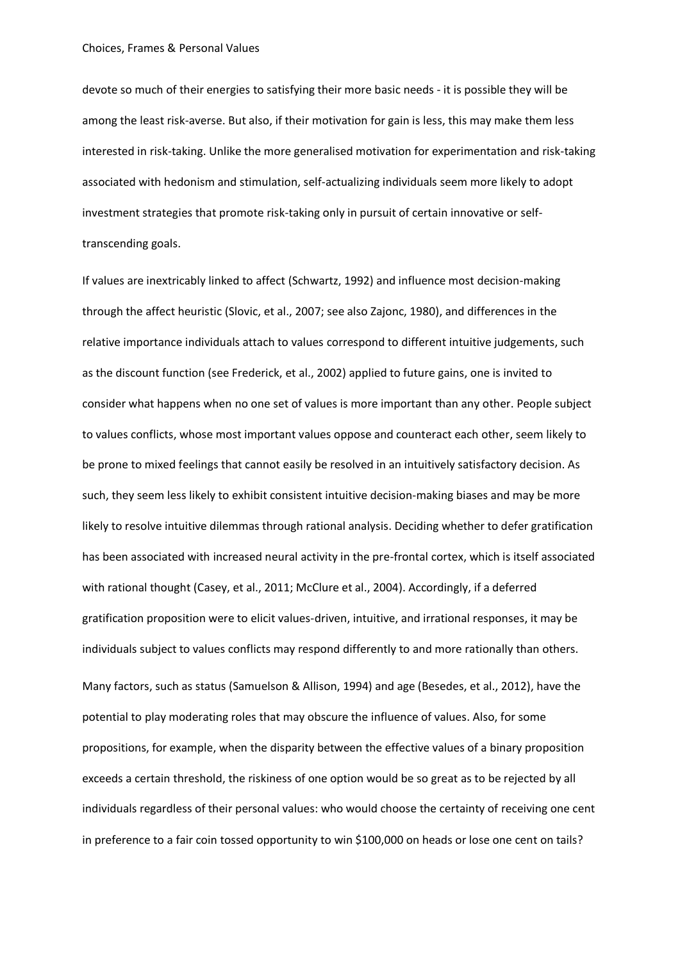devote so much of their energies to satisfying their more basic needs - it is possible they will be among the least risk-averse. But also, if their motivation for gain is less, this may make them less interested in risk-taking. Unlike the more generalised motivation for experimentation and risk-taking associated with hedonism and stimulation, self-actualizing individuals seem more likely to adopt investment strategies that promote risk-taking only in pursuit of certain innovative or selftranscending goals.

If values are inextricably linked to affect (Schwartz, 1992) and influence most decision-making through the affect heuristic (Slovic, et al., 2007; see also Zajonc, 1980), and differences in the relative importance individuals attach to values correspond to different intuitive judgements, such as the discount function (see Frederick, et al., 2002) applied to future gains, one is invited to consider what happens when no one set of values is more important than any other. People subject to values conflicts, whose most important values oppose and counteract each other, seem likely to be prone to mixed feelings that cannot easily be resolved in an intuitively satisfactory decision. As such, they seem less likely to exhibit consistent intuitive decision-making biases and may be more likely to resolve intuitive dilemmas through rational analysis. Deciding whether to defer gratification has been associated with increased neural activity in the pre-frontal cortex, which is itself associated with rational thought (Casey, et al., 2011; McClure et al., 2004). Accordingly, if a deferred gratification proposition were to elicit values-driven, intuitive, and irrational responses, it may be individuals subject to values conflicts may respond differently to and more rationally than others. Many factors, such as status (Samuelson & Allison, 1994) and age (Besedes, et al., 2012), have the potential to play moderating roles that may obscure the influence of values. Also, for some propositions, for example, when the disparity between the effective values of a binary proposition exceeds a certain threshold, the riskiness of one option would be so great as to be rejected by all individuals regardless of their personal values: who would choose the certainty of receiving one cent in preference to a fair coin tossed opportunity to win \$100,000 on heads or lose one cent on tails?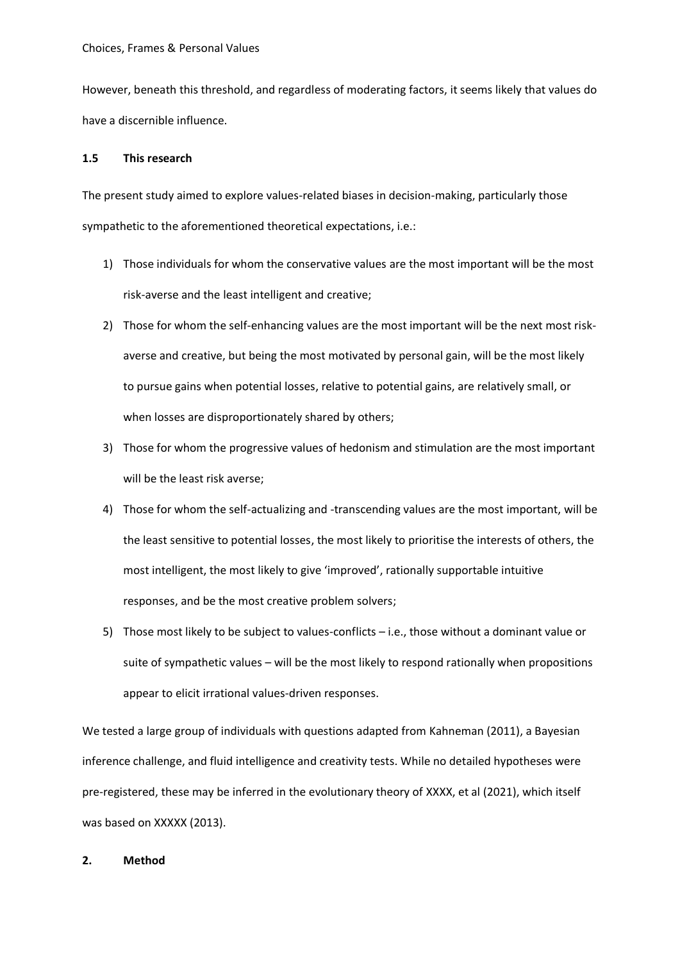However, beneath this threshold, and regardless of moderating factors, it seems likely that values do have a discernible influence.

# **1.5 This research**

The present study aimed to explore values-related biases in decision-making, particularly those sympathetic to the aforementioned theoretical expectations, i.e.:

- 1) Those individuals for whom the conservative values are the most important will be the most risk-averse and the least intelligent and creative;
- 2) Those for whom the self-enhancing values are the most important will be the next most riskaverse and creative, but being the most motivated by personal gain, will be the most likely to pursue gains when potential losses, relative to potential gains, are relatively small, or when losses are disproportionately shared by others;
- 3) Those for whom the progressive values of hedonism and stimulation are the most important will be the least risk averse;
- 4) Those for whom the self-actualizing and -transcending values are the most important, will be the least sensitive to potential losses, the most likely to prioritise the interests of others, the most intelligent, the most likely to give 'improved', rationally supportable intuitive responses, and be the most creative problem solvers;
- 5) Those most likely to be subject to values-conflicts i.e., those without a dominant value or suite of sympathetic values – will be the most likely to respond rationally when propositions appear to elicit irrational values-driven responses.

We tested a large group of individuals with questions adapted from Kahneman (2011), a Bayesian inference challenge, and fluid intelligence and creativity tests. While no detailed hypotheses were pre-registered, these may be inferred in the evolutionary theory of XXXX, et al (2021), which itself was based on XXXXX (2013).

# **2. Method**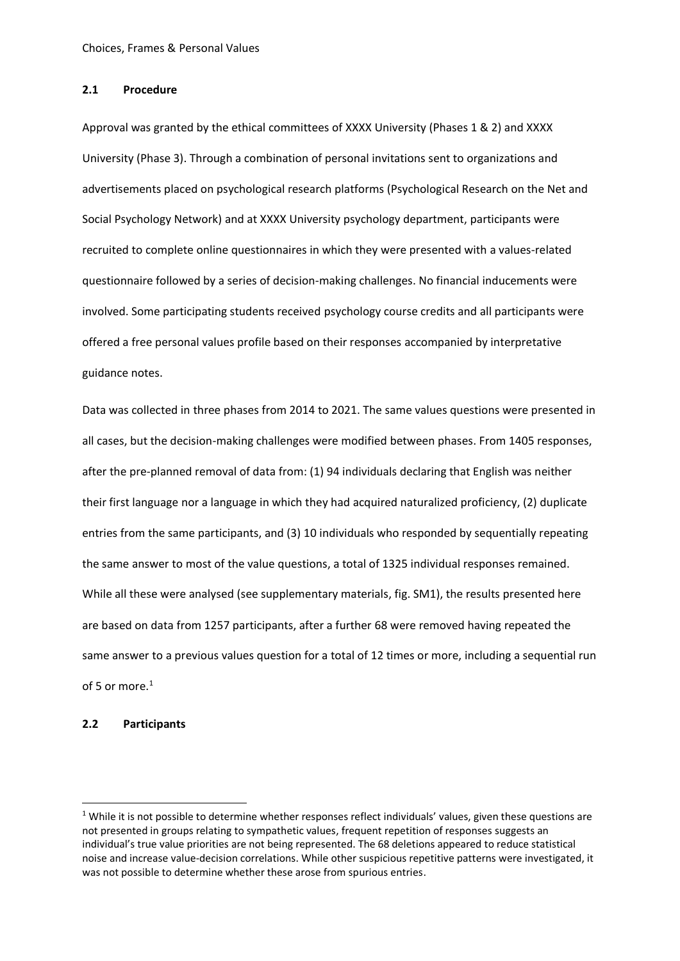## **2.1 Procedure**

Approval was granted by the ethical committees of XXXX University (Phases 1 & 2) and XXXX University (Phase 3). Through a combination of personal invitations sent to organizations and advertisements placed on psychological research platforms (Psychological Research on the Net and Social Psychology Network) and at XXXX University psychology department, participants were recruited to complete online questionnaires in which they were presented with a values-related questionnaire followed by a series of decision-making challenges. No financial inducements were involved. Some participating students received psychology course credits and all participants were offered a free personal values profile based on their responses accompanied by interpretative guidance notes.

Data was collected in three phases from 2014 to 2021. The same values questions were presented in all cases, but the decision-making challenges were modified between phases. From 1405 responses, after the pre-planned removal of data from: (1) 94 individuals declaring that English was neither their first language nor a language in which they had acquired naturalized proficiency, (2) duplicate entries from the same participants, and (3) 10 individuals who responded by sequentially repeating the same answer to most of the value questions, a total of 1325 individual responses remained. While all these were analysed (see supplementary materials, fig. SM1), the results presented here are based on data from 1257 participants, after a further 68 were removed having repeated the same answer to a previous values question for a total of 12 times or more, including a sequential run of 5 or more. 1

# **2.2 Participants**

 $1$  While it is not possible to determine whether responses reflect individuals' values, given these questions are not presented in groups relating to sympathetic values, frequent repetition of responses suggests an individual's true value priorities are not being represented. The 68 deletions appeared to reduce statistical noise and increase value-decision correlations. While other suspicious repetitive patterns were investigated, it was not possible to determine whether these arose from spurious entries.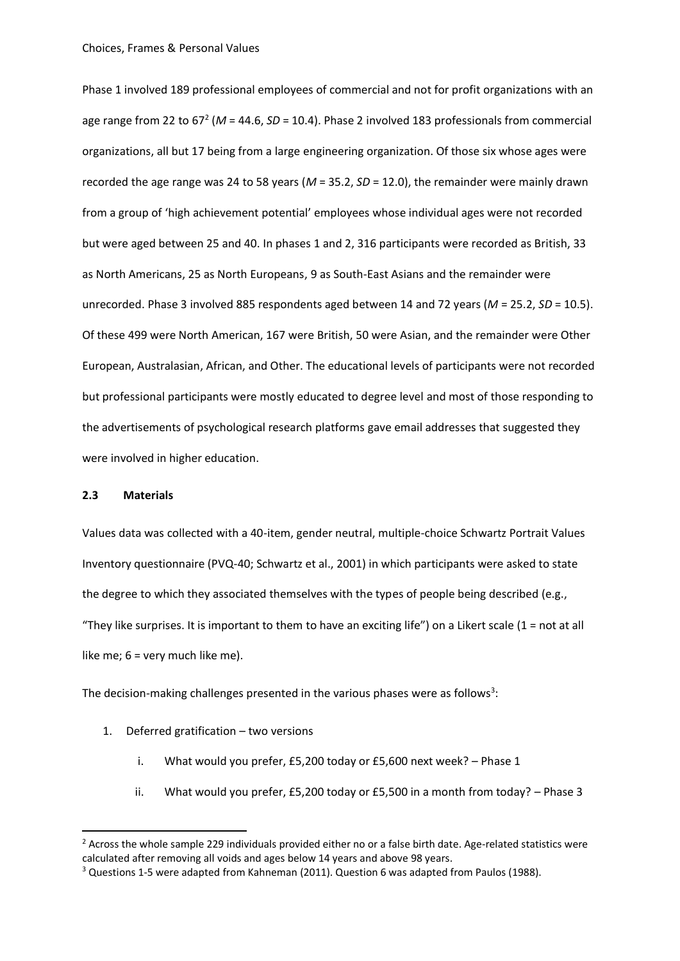Phase 1 involved 189 professional employees of commercial and not for profit organizations with an age range from 22 to 67<sup>2</sup> (*M* = 44.6, *SD* = 10.4). Phase 2 involved 183 professionals from commercial organizations, all but 17 being from a large engineering organization. Of those six whose ages were recorded the age range was 24 to 58 years (*M* = 35.2, *SD* = 12.0), the remainder were mainly drawn from a group of 'high achievement potential' employees whose individual ages were not recorded but were aged between 25 and 40. In phases 1 and 2, 316 participants were recorded as British, 33 as North Americans, 25 as North Europeans, 9 as South-East Asians and the remainder were unrecorded. Phase 3 involved 885 respondents aged between 14 and 72 years (*M* = 25.2, *SD* = 10.5). Of these 499 were North American, 167 were British, 50 were Asian, and the remainder were Other European, Australasian, African, and Other. The educational levels of participants were not recorded but professional participants were mostly educated to degree level and most of those responding to the advertisements of psychological research platforms gave email addresses that suggested they were involved in higher education.

#### **2.3 Materials**

Values data was collected with a 40-item, gender neutral, multiple-choice Schwartz Portrait Values Inventory questionnaire (PVQ-40; Schwartz et al., 2001) in which participants were asked to state the degree to which they associated themselves with the types of people being described (e.g., "They like surprises. It is important to them to have an exciting life") on a Likert scale ( $1 = not$  at all like me; 6 = very much like me).

The decision-making challenges presented in the various phases were as follows<sup>3</sup>:

- 1. Deferred gratification two versions
	- i. What would you prefer, £5,200 today or £5,600 next week? Phase 1
	- ii. What would you prefer, £5,200 today or £5,500 in a month from today? Phase 3

 $2$  Across the whole sample 229 individuals provided either no or a false birth date. Age-related statistics were calculated after removing all voids and ages below 14 years and above 98 years.

 $3$  Questions 1-5 were adapted from Kahneman (2011). Question 6 was adapted from Paulos (1988).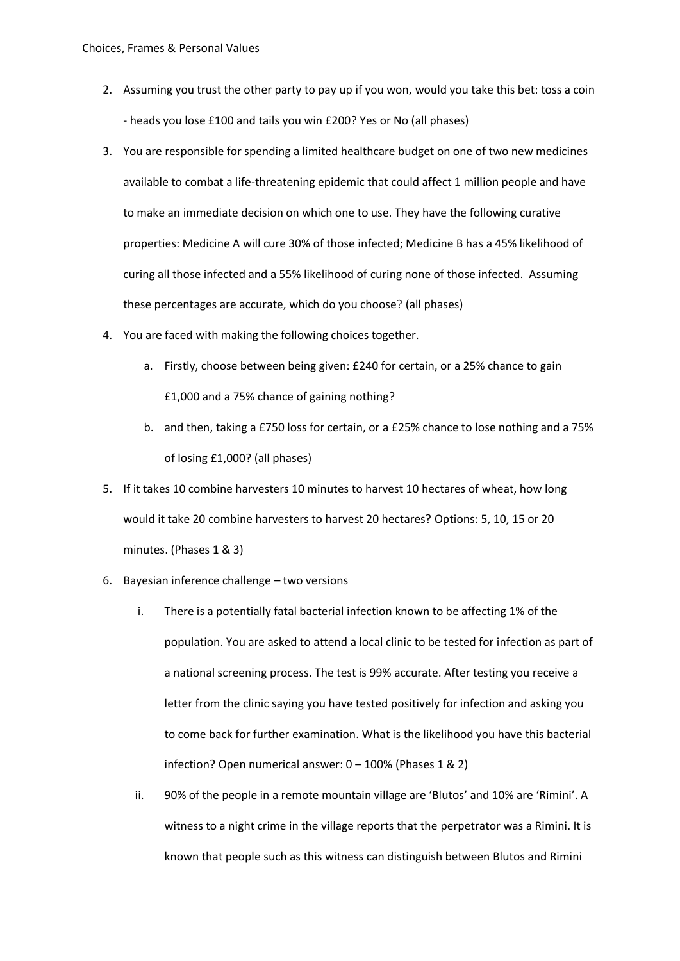- 2. Assuming you trust the other party to pay up if you won, would you take this bet: toss a coin - heads you lose £100 and tails you win £200? Yes or No (all phases)
- 3. You are responsible for spending a limited healthcare budget on one of two new medicines available to combat a life-threatening epidemic that could affect 1 million people and have to make an immediate decision on which one to use. They have the following curative properties: Medicine A will cure 30% of those infected; Medicine B has a 45% likelihood of curing all those infected and a 55% likelihood of curing none of those infected. Assuming these percentages are accurate, which do you choose? (all phases)
- 4. You are faced with making the following choices together.
	- a. Firstly, choose between being given: £240 for certain, or a 25% chance to gain £1,000 and a 75% chance of gaining nothing?
	- b. and then, taking a £750 loss for certain, or a £25% chance to lose nothing and a 75% of losing £1,000? (all phases)
- 5. If it takes 10 combine harvesters 10 minutes to harvest 10 hectares of wheat, how long would it take 20 combine harvesters to harvest 20 hectares? Options: 5, 10, 15 or 20 minutes. (Phases 1 & 3)
- 6. Bayesian inference challenge two versions
	- i. There is a potentially fatal bacterial infection known to be affecting 1% of the population. You are asked to attend a local clinic to be tested for infection as part of a national screening process. The test is 99% accurate. After testing you receive a letter from the clinic saying you have tested positively for infection and asking you to come back for further examination. What is the likelihood you have this bacterial infection? Open numerical answer: 0 – 100% (Phases 1 & 2)
	- ii. 90% of the people in a remote mountain village are 'Blutos' and 10% are 'Rimini'. A witness to a night crime in the village reports that the perpetrator was a Rimini. It is known that people such as this witness can distinguish between Blutos and Rimini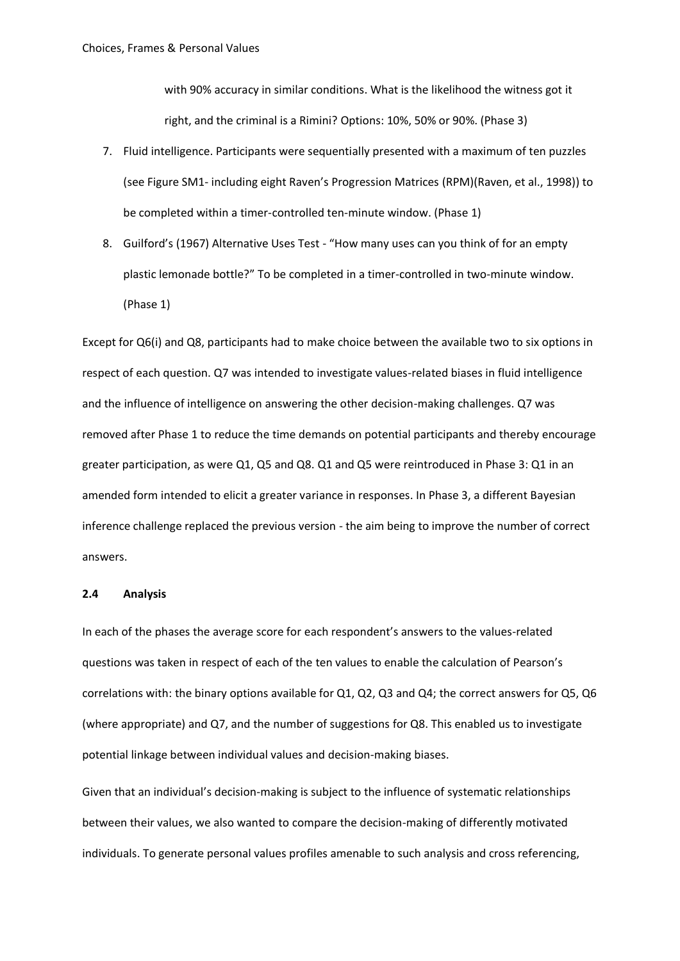with 90% accuracy in similar conditions. What is the likelihood the witness got it right, and the criminal is a Rimini? Options: 10%, 50% or 90%. (Phase 3)

- 7. Fluid intelligence. Participants were sequentially presented with a maximum of ten puzzles (see Figure SM1- including eight Raven's Progression Matrices (RPM)(Raven, et al., 1998)) to be completed within a timer-controlled ten-minute window. (Phase 1)
- 8. Guilford's (1967) Alternative Uses Test "How many uses can you think of for an empty plastic lemonade bottle?" To be completed in a timer-controlled in two-minute window. (Phase 1)

Except for Q6(i) and Q8, participants had to make choice between the available two to six options in respect of each question. Q7 was intended to investigate values-related biases in fluid intelligence and the influence of intelligence on answering the other decision-making challenges. Q7 was removed after Phase 1 to reduce the time demands on potential participants and thereby encourage greater participation, as were Q1, Q5 and Q8. Q1 and Q5 were reintroduced in Phase 3: Q1 in an amended form intended to elicit a greater variance in responses. In Phase 3, a different Bayesian inference challenge replaced the previous version - the aim being to improve the number of correct answers.

# **2.4 Analysis**

In each of the phases the average score for each respondent's answers to the values-related questions was taken in respect of each of the ten values to enable the calculation of Pearson's correlations with: the binary options available for Q1, Q2, Q3 and Q4; the correct answers for Q5, Q6 (where appropriate) and Q7, and the number of suggestions for Q8. This enabled us to investigate potential linkage between individual values and decision-making biases.

Given that an individual's decision-making is subject to the influence of systematic relationships between their values, we also wanted to compare the decision-making of differently motivated individuals. To generate personal values profiles amenable to such analysis and cross referencing,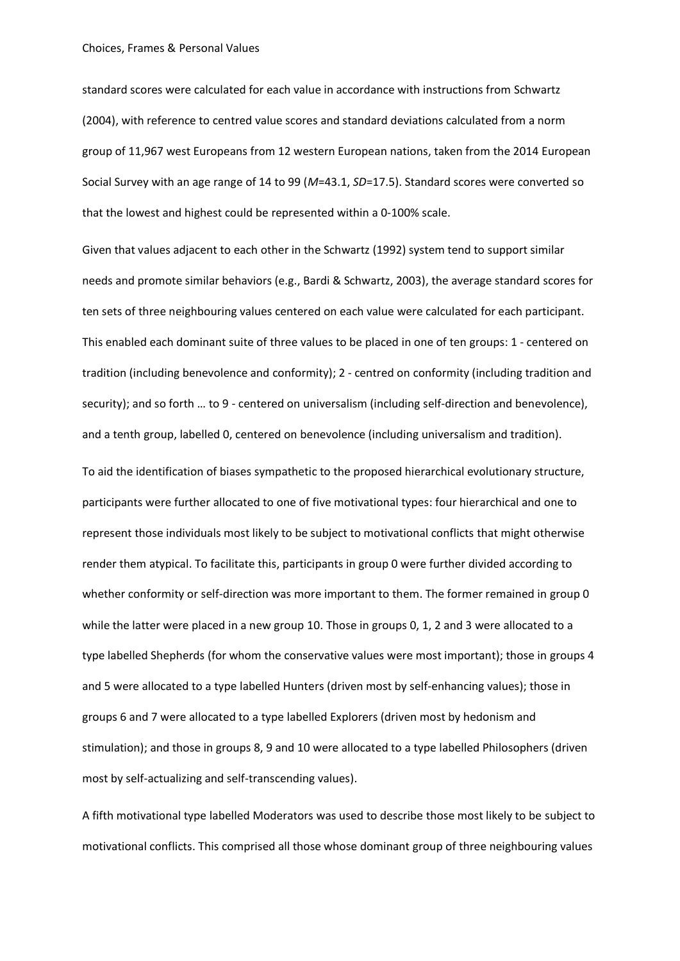standard scores were calculated for each value in accordance with instructions from Schwartz (2004), with reference to centred value scores and standard deviations calculated from a norm group of 11,967 west Europeans from 12 western European nations, taken from the 2014 European Social Survey with an age range of 14 to 99 (*M*=43.1, *SD*=17.5). Standard scores were converted so that the lowest and highest could be represented within a 0-100% scale.

Given that values adjacent to each other in the Schwartz (1992) system tend to support similar needs and promote similar behaviors (e.g., Bardi & Schwartz, 2003), the average standard scores for ten sets of three neighbouring values centered on each value were calculated for each participant. This enabled each dominant suite of three values to be placed in one of ten groups: 1 - centered on tradition (including benevolence and conformity); 2 - centred on conformity (including tradition and security); and so forth … to 9 - centered on universalism (including self-direction and benevolence), and a tenth group, labelled 0, centered on benevolence (including universalism and tradition).

To aid the identification of biases sympathetic to the proposed hierarchical evolutionary structure, participants were further allocated to one of five motivational types: four hierarchical and one to represent those individuals most likely to be subject to motivational conflicts that might otherwise render them atypical. To facilitate this, participants in group 0 were further divided according to whether conformity or self-direction was more important to them. The former remained in group 0 while the latter were placed in a new group 10. Those in groups 0, 1, 2 and 3 were allocated to a type labelled Shepherds (for whom the conservative values were most important); those in groups 4 and 5 were allocated to a type labelled Hunters (driven most by self-enhancing values); those in groups 6 and 7 were allocated to a type labelled Explorers (driven most by hedonism and stimulation); and those in groups 8, 9 and 10 were allocated to a type labelled Philosophers (driven most by self-actualizing and self-transcending values).

A fifth motivational type labelled Moderators was used to describe those most likely to be subject to motivational conflicts. This comprised all those whose dominant group of three neighbouring values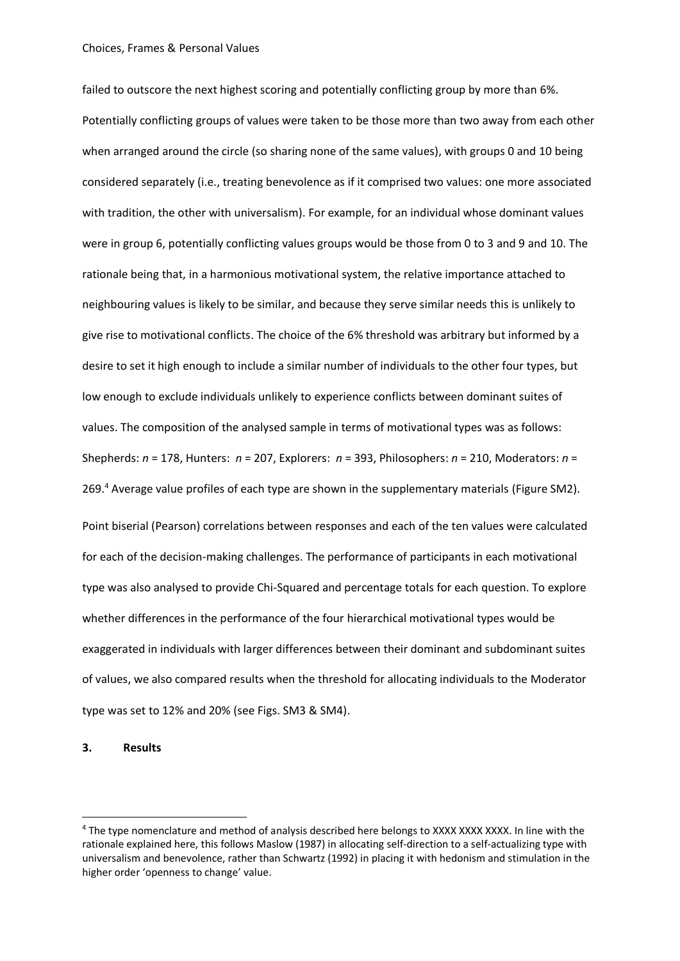failed to outscore the next highest scoring and potentially conflicting group by more than 6%. Potentially conflicting groups of values were taken to be those more than two away from each other when arranged around the circle (so sharing none of the same values), with groups 0 and 10 being considered separately (i.e., treating benevolence as if it comprised two values: one more associated with tradition, the other with universalism). For example, for an individual whose dominant values were in group 6, potentially conflicting values groups would be those from 0 to 3 and 9 and 10. The rationale being that, in a harmonious motivational system, the relative importance attached to neighbouring values is likely to be similar, and because they serve similar needs this is unlikely to give rise to motivational conflicts. The choice of the 6% threshold was arbitrary but informed by a desire to set it high enough to include a similar number of individuals to the other four types, but low enough to exclude individuals unlikely to experience conflicts between dominant suites of values. The composition of the analysed sample in terms of motivational types was as follows: Shepherds: *n* = 178, Hunters: *n* = 207, Explorers: *n* = 393, Philosophers: *n* = 210, Moderators: *n* = 269. <sup>4</sup> Average value profiles of each type are shown in the supplementary materials (Figure SM2). Point biserial (Pearson) correlations between responses and each of the ten values were calculated for each of the decision-making challenges. The performance of participants in each motivational type was also analysed to provide Chi-Squared and percentage totals for each question. To explore whether differences in the performance of the four hierarchical motivational types would be exaggerated in individuals with larger differences between their dominant and subdominant suites of values, we also compared results when the threshold for allocating individuals to the Moderator type was set to 12% and 20% (see Figs. SM3 & SM4).

# **3. Results**

<sup>&</sup>lt;sup>4</sup> The type nomenclature and method of analysis described here belongs to XXXX XXXX XXXX. In line with the rationale explained here, this follows Maslow (1987) in allocating self-direction to a self-actualizing type with universalism and benevolence, rather than Schwartz (1992) in placing it with hedonism and stimulation in the higher order 'openness to change' value.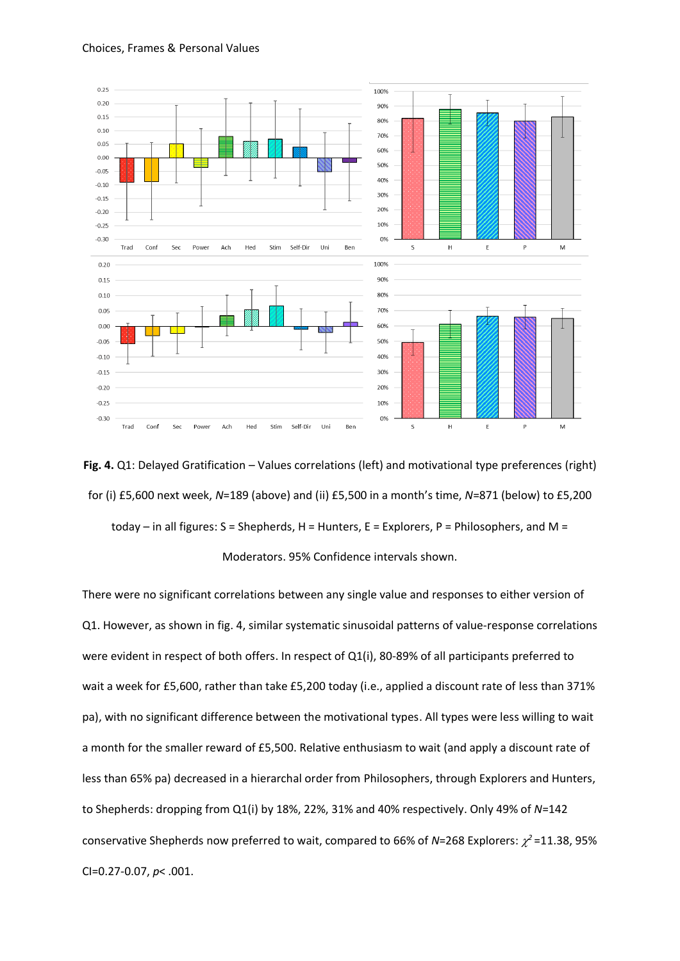



**Fig. 4.** Q1: Delayed Gratification – Values correlations (left) and motivational type preferences (right) for (i) £5,600 next week, *N*=189 (above) and (ii) £5,500 in a month's time, *N*=871 (below) to £5,200 today – in all figures:  $S =$  Shepherds,  $H =$  Hunters,  $E =$  Explorers,  $P =$  Philosophers, and M = Moderators. 95% Confidence intervals shown.

There were no significant correlations between any single value and responses to either version of Q1. However, as shown in fig. 4, similar systematic sinusoidal patterns of value-response correlations were evident in respect of both offers. In respect of Q1(i), 80-89% of all participants preferred to wait a week for £5,600, rather than take £5,200 today (i.e., applied a discount rate of less than 371% pa), with no significant difference between the motivational types. All types were less willing to wait a month for the smaller reward of £5,500. Relative enthusiasm to wait (and apply a discount rate of less than 65% pa) decreased in a hierarchal order from Philosophers, through Explorers and Hunters, to Shepherds: dropping from Q1(i) by 18%, 22%, 31% and 40% respectively. Only 49% of *N*=142 conservative Shepherds now preferred to wait, compared to 66% of *N*=268 Explorers:  $\chi^2$ =11.38, 95% CI=0.27-0.07, *p*< .001.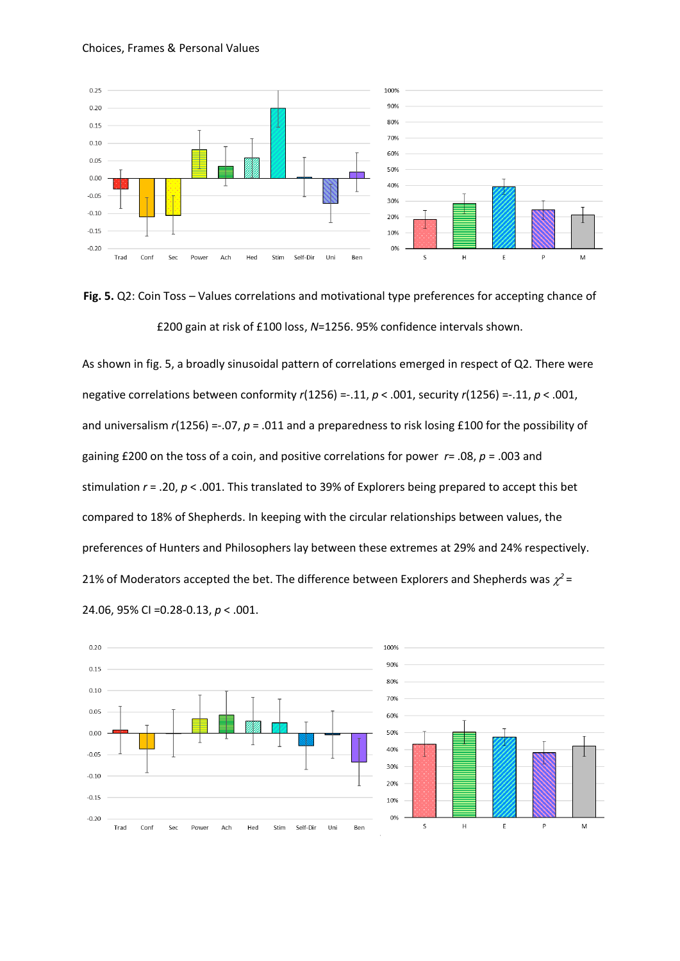



As shown in fig. 5, a broadly sinusoidal pattern of correlations emerged in respect of Q2. There were negative correlations between conformity *r*(1256) =-.11, *p* < .001, security *r*(1256) =-.11, *p* < .001, and universalism  $r(1256) = 0.07$ ,  $p = 0.011$  and a preparedness to risk losing £100 for the possibility of gaining £200 on the toss of a coin, and positive correlations for power *r*= .08, *p* = .003 and stimulation *r* = .20, *p* < .001. This translated to 39% of Explorers being prepared to accept this bet compared to 18% of Shepherds. In keeping with the circular relationships between values, the preferences of Hunters and Philosophers lay between these extremes at 29% and 24% respectively. 21% of Moderators accepted the bet. The difference between Explorers and Shepherds was  $\chi^2$  = 24.06, 95% CI =0.28-0.13, *p* < .001.

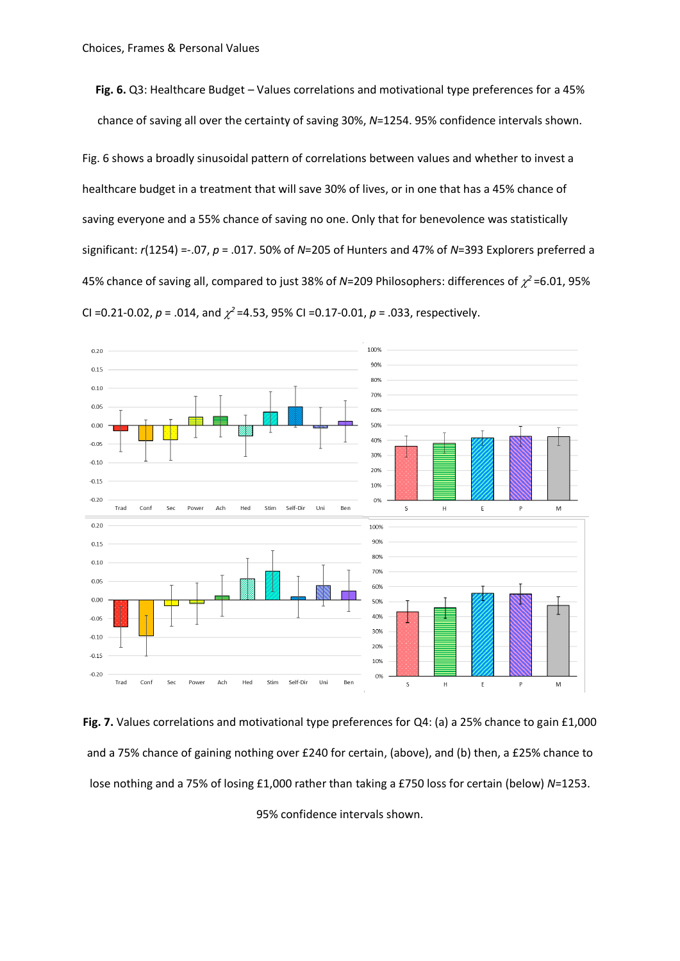**Fig. 6.** Q3: Healthcare Budget – Values correlations and motivational type preferences for a 45% chance of saving all over the certainty of saving 30%, *N*=1254. 95% confidence intervals shown.

Fig. 6 shows a broadly sinusoidal pattern of correlations between values and whether to invest a healthcare budget in a treatment that will save 30% of lives, or in one that has a 45% chance of saving everyone and a 55% chance of saving no one. Only that for benevolence was statistically significant: *r*(1254) =-.07, *p* = .017. 50% of *N*=205 of Hunters and 47% of *N*=393 Explorers preferred a 45% chance of saving all, compared to just 38% of N=209 Philosophers: differences of  $\chi^2$ =6.01, 95% CI =0.21-0.02,  $p = .014$ , and  $\chi^2$  =4.53, 95% CI =0.17-0.01,  $p = .033$ , respectively.



**Fig. 7.** Values correlations and motivational type preferences for Q4: (a) a 25% chance to gain £1,000 and a 75% chance of gaining nothing over £240 for certain, (above), and (b) then, a £25% chance to lose nothing and a 75% of losing £1,000 rather than taking a £750 loss for certain (below) *N*=1253.

95% confidence intervals shown.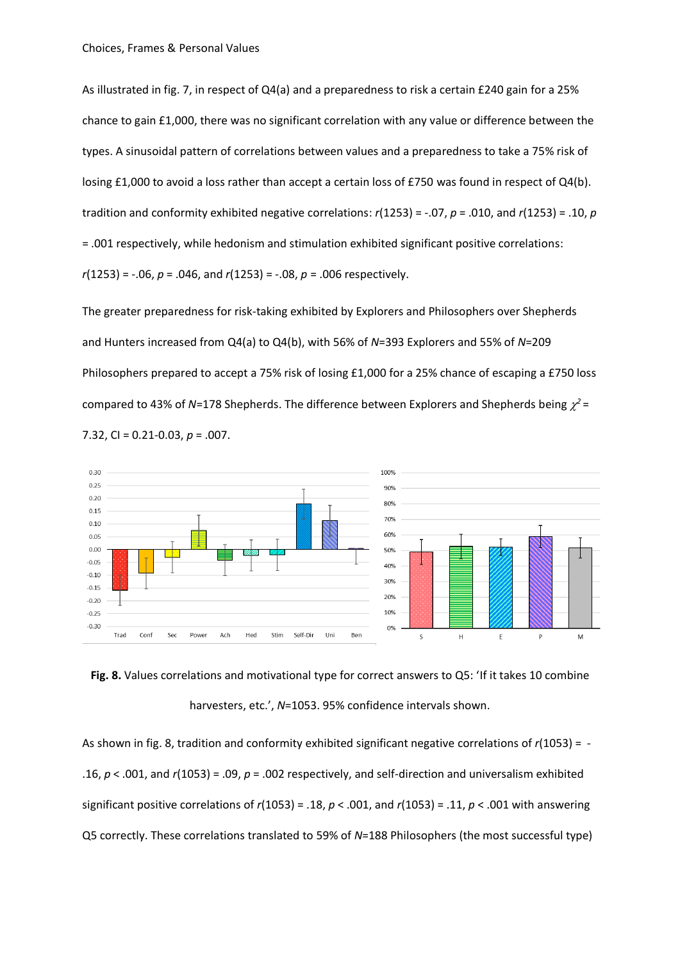As illustrated in fig. 7, in respect of Q4(a) and a preparedness to risk a certain £240 gain for a 25% chance to gain £1,000, there was no significant correlation with any value or difference between the types. A sinusoidal pattern of correlations between values and a preparedness to take a 75% risk of losing £1,000 to avoid a loss rather than accept a certain loss of £750 was found in respect of Q4(b). tradition and conformity exhibited negative correlations: *r*(1253) = -.07, *p* = .010, and *r*(1253) = .10, *p* = .001 respectively, while hedonism and stimulation exhibited significant positive correlations: *r*(1253) = -.06, *p* = .046, and *r*(1253) = -.08, *p* = .006 respectively.

The greater preparedness for risk-taking exhibited by Explorers and Philosophers over Shepherds and Hunters increased from Q4(a) to Q4(b), with 56% of *N*=393 Explorers and 55% of *N*=209 Philosophers prepared to accept a 75% risk of losing £1,000 for a 25% chance of escaping a £750 loss compared to 43% of N=178 Shepherds. The difference between Explorers and Shepherds being  $\chi^2$  = 7.32, CI = 0.21-0.03, *p* = .007.



**Fig. 8.** Values correlations and motivational type for correct answers to Q5: 'If it takes 10 combine harvesters, etc.', *N*=1053. 95% confidence intervals shown.

As shown in fig. 8, tradition and conformity exhibited significant negative correlations of *r*(1053) = - .16, *p* < .001, and *r*(1053) = .09, *p* = .002 respectively, and self-direction and universalism exhibited significant positive correlations of *r*(1053) = .18, *p* < .001, and *r*(1053) = .11, *p* < .001 with answering Q5 correctly. These correlations translated to 59% of *N*=188 Philosophers (the most successful type)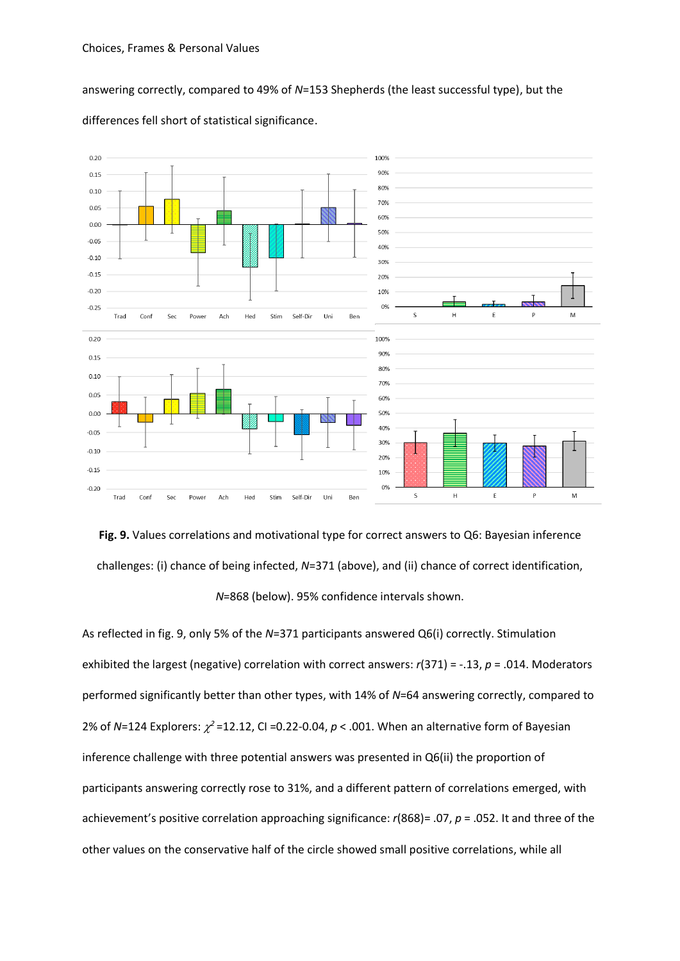answering correctly, compared to 49% of *N*=153 Shepherds (the least successful type), but the



differences fell short of statistical significance.



As reflected in fig. 9, only 5% of the *N*=371 participants answered Q6(i) correctly. Stimulation exhibited the largest (negative) correlation with correct answers: *r*(371) = -.13, *p* = .014. Moderators performed significantly better than other types, with 14% of *N*=64 answering correctly, compared to 2% of N=124 Explorers:  $\chi^2$ =12.12, CI =0.22-0.04,  $p < .001$ . When an alternative form of Bayesian inference challenge with three potential answers was presented in Q6(ii) the proportion of participants answering correctly rose to 31%, and a different pattern of correlations emerged, with achievement's positive correlation approaching significance: *r*(868)= .07, *p* = .052. It and three of the other values on the conservative half of the circle showed small positive correlations, while all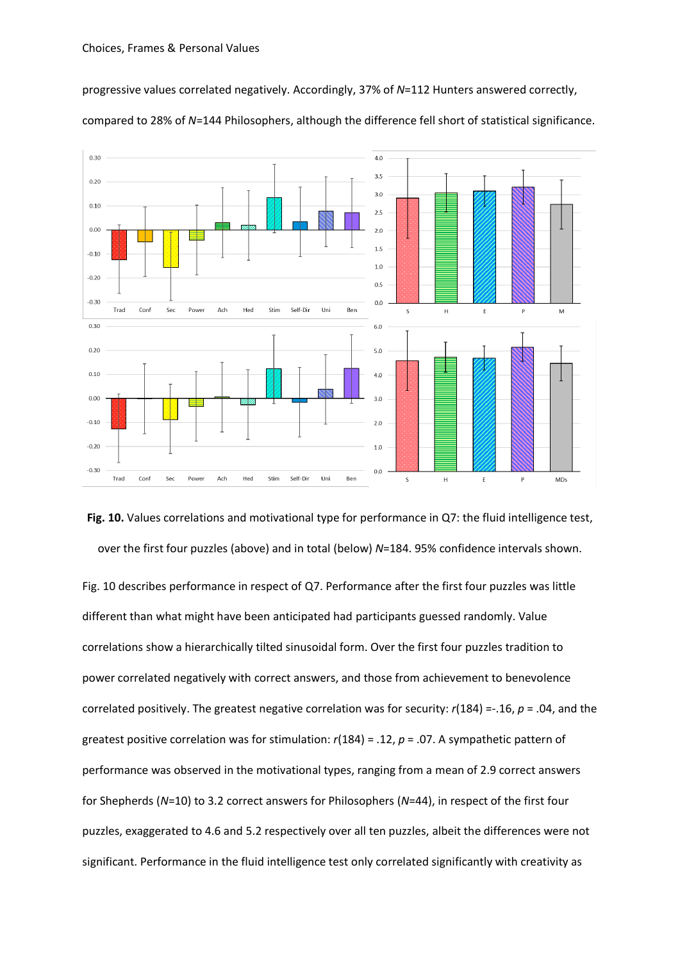$0.30$ 

progressive values correlated negatively. Accordingly, 37% of *N*=112 Hunters answered correctly,

 $3.5$  $0.20$  $30$  $0.10$  $2.5$  $0.00$  $2.0$  $1<sup>5</sup>$  $-0.10$  $1.0$  $-0.20$  $0.5$  $-0.30$  $0.0$ Self-Dir Uni **Ben** Trac  $Cont$ Se  $\Delta$ ch Hed Stim  $\overline{\mathbf{s}}$  $H$ F  $\overline{P}$ M  $0.30$  $6.0$  $0.20$  $50$  $0.10$  $4.0$  $0.00$ 30  $-0.10$  $2.0$  $-0.20$  $1.0$  $-0.30$  $0.0$ Trad Conf Sec Power Ach Hed Stim Self-Dir Uni Ben  $\mathsf{s}$  $H$ MDs E  $\mathsf{P}$ 

compared to 28% of *N*=144 Philosophers, although the difference fell short of statistical significance.

 $4.0$ 

**Fig. 10.** Values correlations and motivational type for performance in Q7: the fluid intelligence test, over the first four puzzles (above) and in total (below) *N*=184. 95% confidence intervals shown.

Fig. 10 describes performance in respect of Q7. Performance after the first four puzzles was little different than what might have been anticipated had participants guessed randomly. Value correlations show a hierarchically tilted sinusoidal form. Over the first four puzzles tradition to power correlated negatively with correct answers, and those from achievement to benevolence correlated positively. The greatest negative correlation was for security: *r*(184) =-.16, *p* = .04, and the greatest positive correlation was for stimulation: *r*(184) = .12, *p* = .07. A sympathetic pattern of performance was observed in the motivational types, ranging from a mean of 2.9 correct answers for Shepherds (*N*=10) to 3.2 correct answers for Philosophers (*N*=44), in respect of the first four puzzles, exaggerated to 4.6 and 5.2 respectively over all ten puzzles, albeit the differences were not significant. Performance in the fluid intelligence test only correlated significantly with creativity as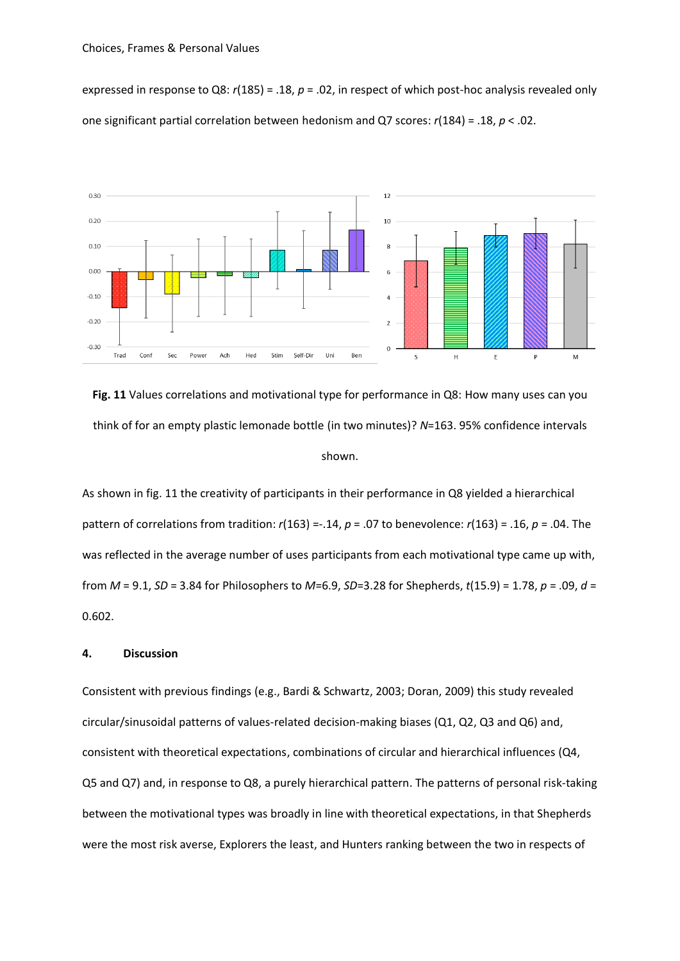expressed in response to Q8: *r*(185) = .18, *p* = .02, in respect of which post-hoc analysis revealed only one significant partial correlation between hedonism and Q7 scores: *r*(184) = .18, *p* < .02.



**Fig. 11** Values correlations and motivational type for performance in Q8: How many uses can you think of for an empty plastic lemonade bottle (in two minutes)? *N*=163. 95% confidence intervals shown.

As shown in fig. 11 the creativity of participants in their performance in Q8 yielded a hierarchical pattern of correlations from tradition: *r*(163) =-.14, *p* = .07 to benevolence: *r*(163) = .16, *p* = .04. The was reflected in the average number of uses participants from each motivational type came up with, from *M* = 9.1, *SD* = 3.84 for Philosophers to *M*=6.9, *SD*=3.28 for Shepherds, *t*(15.9) = 1.78, *p* = .09, *d* = 0.602.

#### **4. Discussion**

Consistent with previous findings (e.g., Bardi & Schwartz, 2003; Doran, 2009) this study revealed circular/sinusoidal patterns of values-related decision-making biases (Q1, Q2, Q3 and Q6) and, consistent with theoretical expectations, combinations of circular and hierarchical influences (Q4, Q5 and Q7) and, in response to Q8, a purely hierarchical pattern. The patterns of personal risk-taking between the motivational types was broadly in line with theoretical expectations, in that Shepherds were the most risk averse, Explorers the least, and Hunters ranking between the two in respects of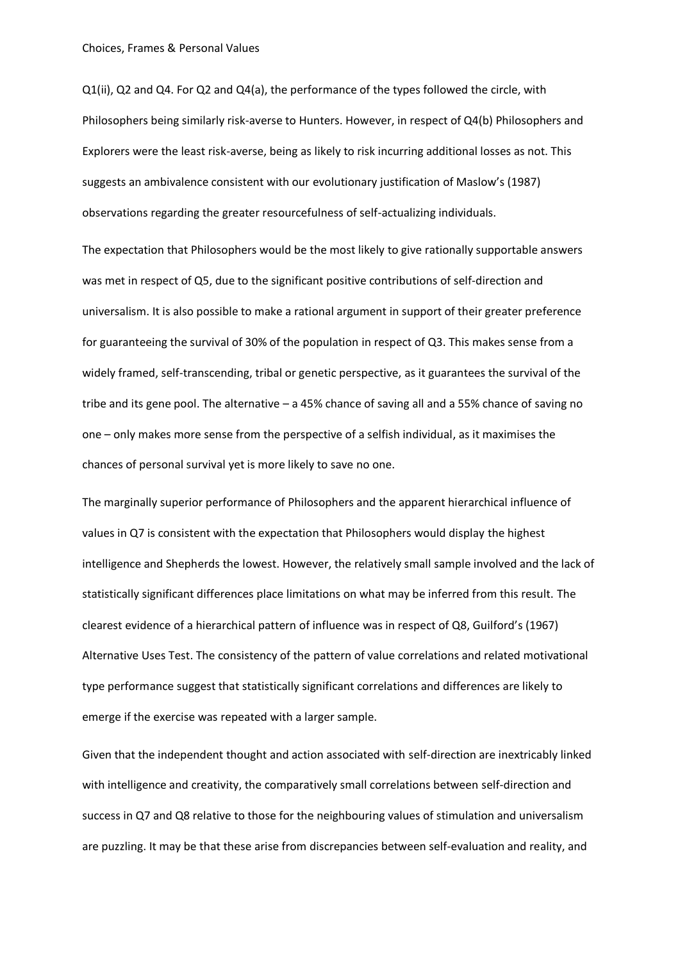Q1(ii), Q2 and Q4. For Q2 and Q4(a), the performance of the types followed the circle, with Philosophers being similarly risk-averse to Hunters. However, in respect of Q4(b) Philosophers and Explorers were the least risk-averse, being as likely to risk incurring additional losses as not. This suggests an ambivalence consistent with our evolutionary justification of Maslow's (1987) observations regarding the greater resourcefulness of self-actualizing individuals.

The expectation that Philosophers would be the most likely to give rationally supportable answers was met in respect of Q5, due to the significant positive contributions of self-direction and universalism. It is also possible to make a rational argument in support of their greater preference for guaranteeing the survival of 30% of the population in respect of Q3. This makes sense from a widely framed, self-transcending, tribal or genetic perspective, as it guarantees the survival of the tribe and its gene pool. The alternative – a 45% chance of saving all and a 55% chance of saving no one – only makes more sense from the perspective of a selfish individual, as it maximises the chances of personal survival yet is more likely to save no one.

The marginally superior performance of Philosophers and the apparent hierarchical influence of values in Q7 is consistent with the expectation that Philosophers would display the highest intelligence and Shepherds the lowest. However, the relatively small sample involved and the lack of statistically significant differences place limitations on what may be inferred from this result. The clearest evidence of a hierarchical pattern of influence was in respect of Q8, Guilford's (1967) Alternative Uses Test. The consistency of the pattern of value correlations and related motivational type performance suggest that statistically significant correlations and differences are likely to emerge if the exercise was repeated with a larger sample.

Given that the independent thought and action associated with self-direction are inextricably linked with intelligence and creativity, the comparatively small correlations between self-direction and success in Q7 and Q8 relative to those for the neighbouring values of stimulation and universalism are puzzling. It may be that these arise from discrepancies between self-evaluation and reality, and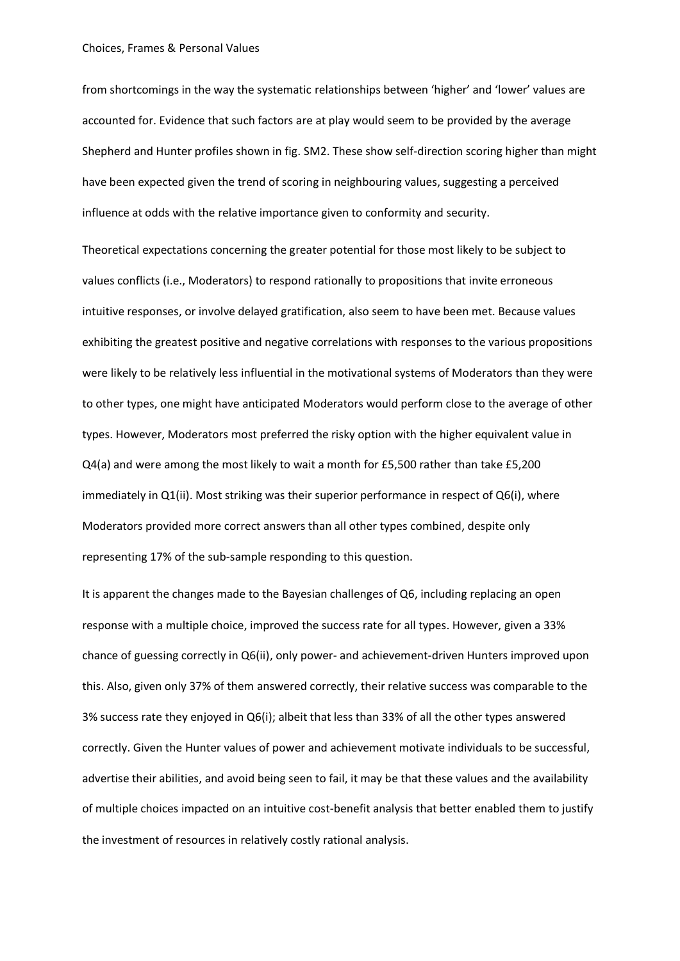from shortcomings in the way the systematic relationships between 'higher' and 'lower' values are accounted for. Evidence that such factors are at play would seem to be provided by the average Shepherd and Hunter profiles shown in fig. SM2. These show self-direction scoring higher than might have been expected given the trend of scoring in neighbouring values, suggesting a perceived influence at odds with the relative importance given to conformity and security.

Theoretical expectations concerning the greater potential for those most likely to be subject to values conflicts (i.e., Moderators) to respond rationally to propositions that invite erroneous intuitive responses, or involve delayed gratification, also seem to have been met. Because values exhibiting the greatest positive and negative correlations with responses to the various propositions were likely to be relatively less influential in the motivational systems of Moderators than they were to other types, one might have anticipated Moderators would perform close to the average of other types. However, Moderators most preferred the risky option with the higher equivalent value in Q4(a) and were among the most likely to wait a month for £5,500 rather than take £5,200 immediately in Q1(ii). Most striking was their superior performance in respect of Q6(i), where Moderators provided more correct answers than all other types combined, despite only representing 17% of the sub-sample responding to this question.

It is apparent the changes made to the Bayesian challenges of Q6, including replacing an open response with a multiple choice, improved the success rate for all types. However, given a 33% chance of guessing correctly in Q6(ii), only power- and achievement-driven Hunters improved upon this. Also, given only 37% of them answered correctly, their relative success was comparable to the 3% success rate they enjoyed in Q6(i); albeit that less than 33% of all the other types answered correctly. Given the Hunter values of power and achievement motivate individuals to be successful, advertise their abilities, and avoid being seen to fail, it may be that these values and the availability of multiple choices impacted on an intuitive cost-benefit analysis that better enabled them to justify the investment of resources in relatively costly rational analysis.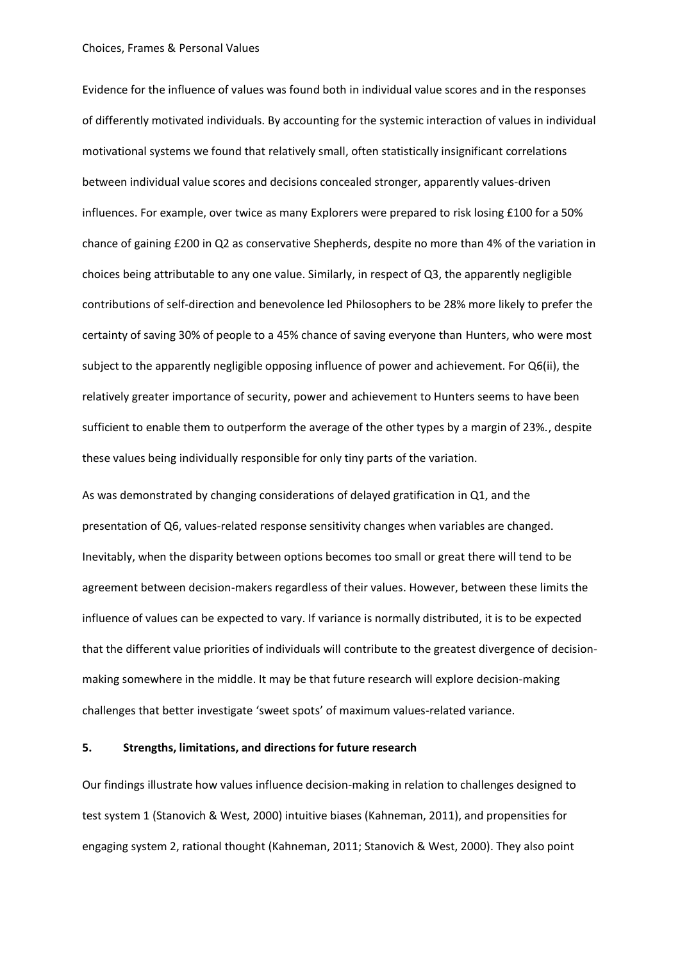Evidence for the influence of values was found both in individual value scores and in the responses of differently motivated individuals. By accounting for the systemic interaction of values in individual motivational systems we found that relatively small, often statistically insignificant correlations between individual value scores and decisions concealed stronger, apparently values-driven influences. For example, over twice as many Explorers were prepared to risk losing £100 for a 50% chance of gaining £200 in Q2 as conservative Shepherds, despite no more than 4% of the variation in choices being attributable to any one value. Similarly, in respect of Q3, the apparently negligible contributions of self-direction and benevolence led Philosophers to be 28% more likely to prefer the certainty of saving 30% of people to a 45% chance of saving everyone than Hunters, who were most subject to the apparently negligible opposing influence of power and achievement. For Q6(ii), the relatively greater importance of security, power and achievement to Hunters seems to have been sufficient to enable them to outperform the average of the other types by a margin of 23%., despite these values being individually responsible for only tiny parts of the variation.

As was demonstrated by changing considerations of delayed gratification in Q1, and the presentation of Q6, values-related response sensitivity changes when variables are changed. Inevitably, when the disparity between options becomes too small or great there will tend to be agreement between decision-makers regardless of their values. However, between these limits the influence of values can be expected to vary. If variance is normally distributed, it is to be expected that the different value priorities of individuals will contribute to the greatest divergence of decisionmaking somewhere in the middle. It may be that future research will explore decision-making challenges that better investigate 'sweet spots' of maximum values-related variance.

# **5. Strengths, limitations, and directions for future research**

Our findings illustrate how values influence decision-making in relation to challenges designed to test system 1 (Stanovich & West, 2000) intuitive biases (Kahneman, 2011), and propensities for engaging system 2, rational thought (Kahneman, 2011; Stanovich & West, 2000). They also point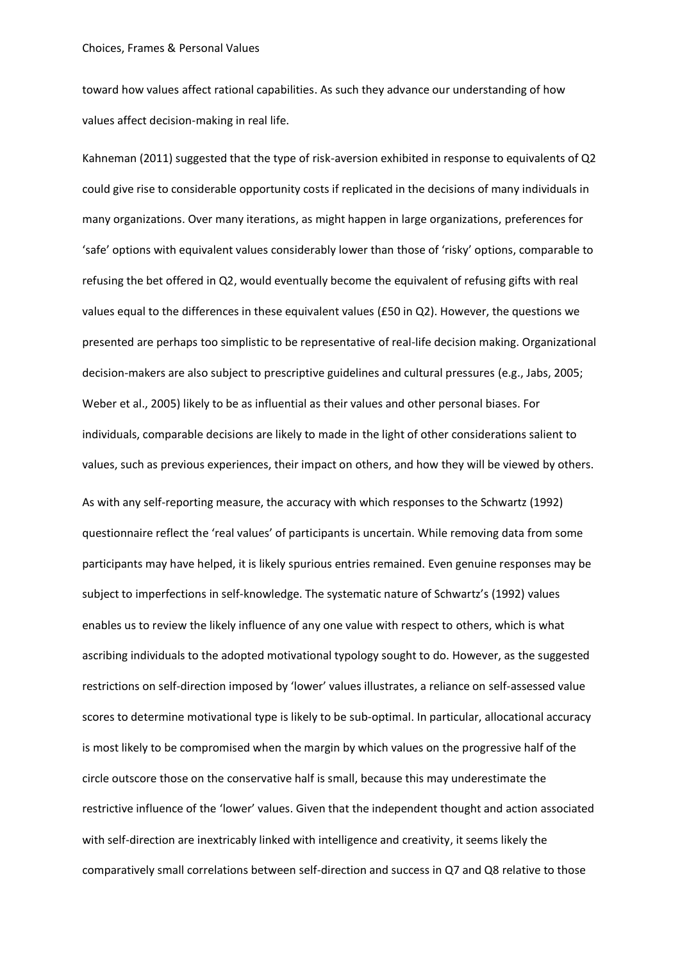toward how values affect rational capabilities. As such they advance our understanding of how values affect decision-making in real life.

Kahneman (2011) suggested that the type of risk-aversion exhibited in response to equivalents of Q2 could give rise to considerable opportunity costs if replicated in the decisions of many individuals in many organizations. Over many iterations, as might happen in large organizations, preferences for 'safe' options with equivalent values considerably lower than those of 'risky' options, comparable to refusing the bet offered in Q2, would eventually become the equivalent of refusing gifts with real values equal to the differences in these equivalent values (£50 in Q2). However, the questions we presented are perhaps too simplistic to be representative of real-life decision making. Organizational decision-makers are also subject to prescriptive guidelines and cultural pressures (e.g., Jabs, 2005; Weber et al., 2005) likely to be as influential as their values and other personal biases. For individuals, comparable decisions are likely to made in the light of other considerations salient to values, such as previous experiences, their impact on others, and how they will be viewed by others. As with any self-reporting measure, the accuracy with which responses to the Schwartz (1992) questionnaire reflect the 'real values' of participants is uncertain. While removing data from some participants may have helped, it is likely spurious entries remained. Even genuine responses may be subject to imperfections in self-knowledge. The systematic nature of Schwartz's (1992) values enables us to review the likely influence of any one value with respect to others, which is what ascribing individuals to the adopted motivational typology sought to do. However, as the suggested restrictions on self-direction imposed by 'lower' values illustrates, a reliance on self-assessed value scores to determine motivational type is likely to be sub-optimal. In particular, allocational accuracy is most likely to be compromised when the margin by which values on the progressive half of the circle outscore those on the conservative half is small, because this may underestimate the restrictive influence of the 'lower' values. Given that the independent thought and action associated with self-direction are inextricably linked with intelligence and creativity, it seems likely the comparatively small correlations between self-direction and success in Q7 and Q8 relative to those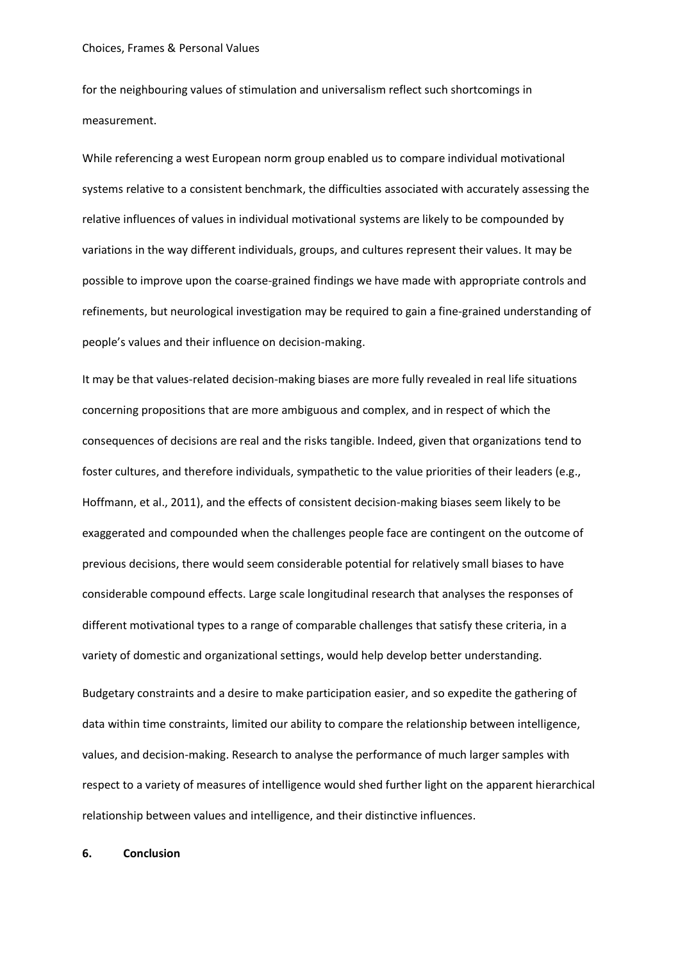for the neighbouring values of stimulation and universalism reflect such shortcomings in measurement.

While referencing a west European norm group enabled us to compare individual motivational systems relative to a consistent benchmark, the difficulties associated with accurately assessing the relative influences of values in individual motivational systems are likely to be compounded by variations in the way different individuals, groups, and cultures represent their values. It may be possible to improve upon the coarse-grained findings we have made with appropriate controls and refinements, but neurological investigation may be required to gain a fine-grained understanding of people's values and their influence on decision-making.

It may be that values-related decision-making biases are more fully revealed in real life situations concerning propositions that are more ambiguous and complex, and in respect of which the consequences of decisions are real and the risks tangible. Indeed, given that organizations tend to foster cultures, and therefore individuals, sympathetic to the value priorities of their leaders (e.g., Hoffmann, et al., 2011), and the effects of consistent decision-making biases seem likely to be exaggerated and compounded when the challenges people face are contingent on the outcome of previous decisions, there would seem considerable potential for relatively small biases to have considerable compound effects. Large scale longitudinal research that analyses the responses of different motivational types to a range of comparable challenges that satisfy these criteria, in a variety of domestic and organizational settings, would help develop better understanding.

Budgetary constraints and a desire to make participation easier, and so expedite the gathering of data within time constraints, limited our ability to compare the relationship between intelligence, values, and decision-making. Research to analyse the performance of much larger samples with respect to a variety of measures of intelligence would shed further light on the apparent hierarchical relationship between values and intelligence, and their distinctive influences.

#### **6. Conclusion**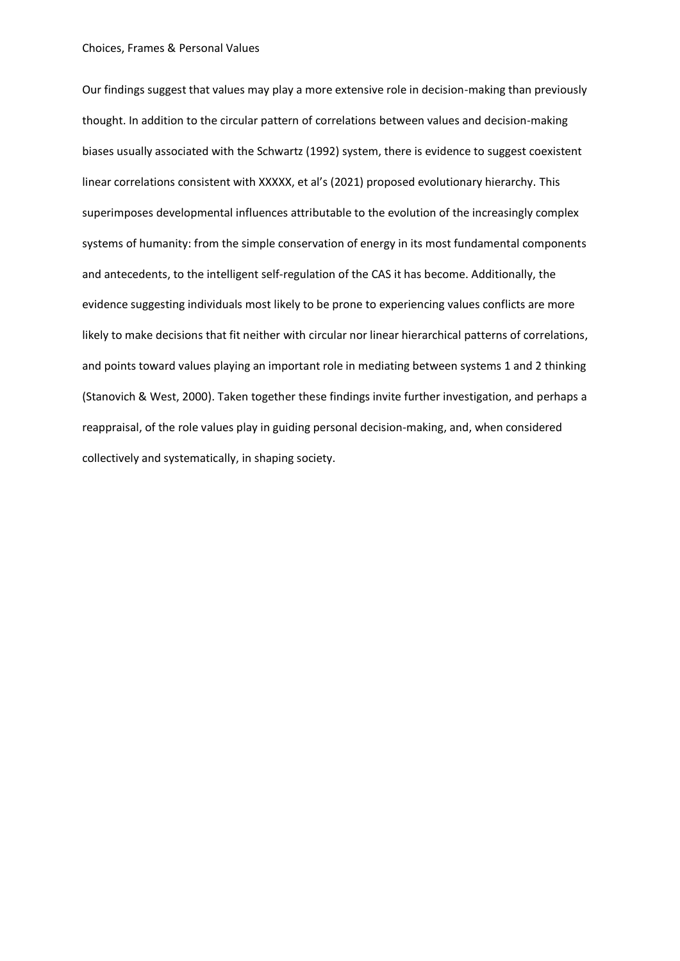Our findings suggest that values may play a more extensive role in decision-making than previously thought. In addition to the circular pattern of correlations between values and decision-making biases usually associated with the Schwartz (1992) system, there is evidence to suggest coexistent linear correlations consistent with XXXXX, et al's (2021) proposed evolutionary hierarchy. This superimposes developmental influences attributable to the evolution of the increasingly complex systems of humanity: from the simple conservation of energy in its most fundamental components and antecedents, to the intelligent self-regulation of the CAS it has become. Additionally, the evidence suggesting individuals most likely to be prone to experiencing values conflicts are more likely to make decisions that fit neither with circular nor linear hierarchical patterns of correlations, and points toward values playing an important role in mediating between systems 1 and 2 thinking (Stanovich & West, 2000). Taken together these findings invite further investigation, and perhaps a reappraisal, of the role values play in guiding personal decision-making, and, when considered collectively and systematically, in shaping society.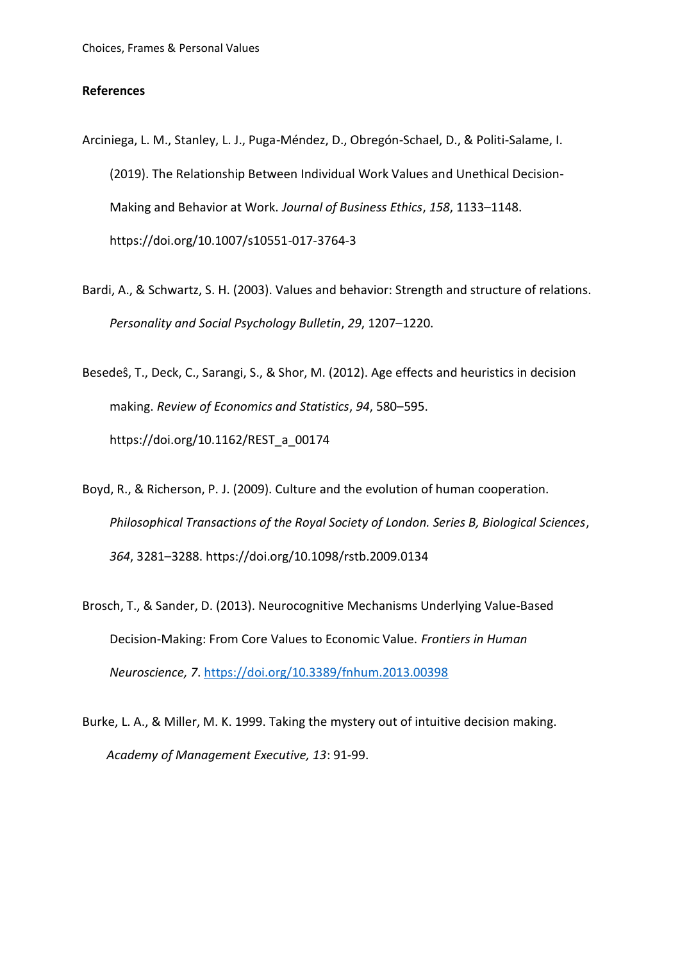# **References**

- Arciniega, L. M., Stanley, L. J., Puga-Méndez, D., Obregón-Schael, D., & Politi-Salame, I. (2019). The Relationship Between Individual Work Values and Unethical Decision-Making and Behavior at Work. *Journal of Business Ethics*, *158*, 1133–1148. https://doi.org/10.1007/s10551-017-3764-3
- Bardi, A., & Schwartz, S. H. (2003). Values and behavior: Strength and structure of relations. *Personality and Social Psychology Bulletin*, *29*, 1207–1220.
- Besedeŝ, T., Deck, C., Sarangi, S., & Shor, M. (2012). Age effects and heuristics in decision making. *Review of Economics and Statistics*, *94*, 580–595. https://doi.org/10.1162/REST\_a\_00174
- Boyd, R., & Richerson, P. J. (2009). Culture and the evolution of human cooperation. *Philosophical Transactions of the Royal Society of London. Series B, Biological Sciences*, *364*, 3281–3288. https://doi.org/10.1098/rstb.2009.0134
- Brosch, T., & Sander, D. (2013). Neurocognitive Mechanisms Underlying Value-Based Decision-Making: From Core Values to Economic Value. *Frontiers in Human Neuroscience, 7*.<https://doi.org/10.3389/fnhum.2013.00398>
- Burke, L. A., & Miller, M. K. 1999. Taking the mystery out of intuitive decision making. *Academy of Management Executive, 13*: 91-99.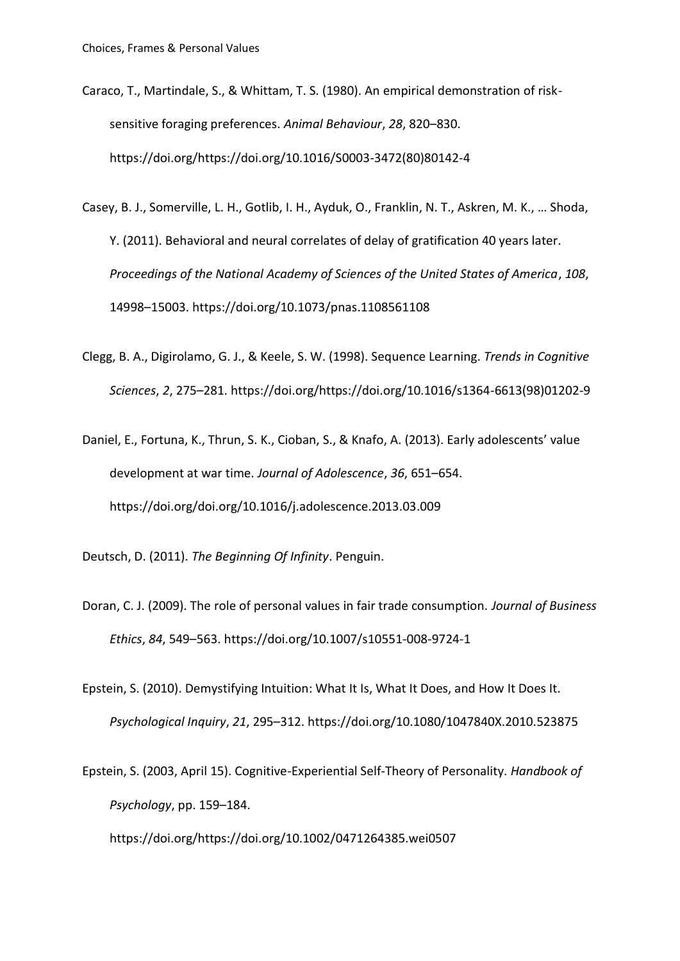- Caraco, T., Martindale, S., & Whittam, T. S. (1980). An empirical demonstration of risksensitive foraging preferences. *Animal Behaviour*, *28*, 820–830. https://doi.org/https://doi.org/10.1016/S0003-3472(80)80142-4
- Casey, B. J., Somerville, L. H., Gotlib, I. H., Ayduk, O., Franklin, N. T., Askren, M. K., … Shoda, Y. (2011). Behavioral and neural correlates of delay of gratification 40 years later. *Proceedings of the National Academy of Sciences of the United States of America*, *108*, 14998–15003. https://doi.org/10.1073/pnas.1108561108
- Clegg, B. A., Digirolamo, G. J., & Keele, S. W. (1998). Sequence Learning. *Trends in Cognitive Sciences*, *2*, 275–281. https://doi.org/https://doi.org/10.1016/s1364-6613(98)01202-9
- Daniel, E., Fortuna, K., Thrun, S. K., Cioban, S., & Knafo, A. (2013). Early adolescents' value development at war time. *Journal of Adolescence*, *36*, 651–654. https://doi.org/doi.org/10.1016/j.adolescence.2013.03.009
- Deutsch, D. (2011). *The Beginning Of Infinity*. Penguin.
- Doran, C. J. (2009). The role of personal values in fair trade consumption. *Journal of Business Ethics*, *84*, 549–563. https://doi.org/10.1007/s10551-008-9724-1
- Epstein, S. (2010). Demystifying Intuition: What It Is, What It Does, and How It Does It. *Psychological Inquiry*, *21*, 295–312. https://doi.org/10.1080/1047840X.2010.523875
- Epstein, S. (2003, April 15). Cognitive-Experiential Self-Theory of Personality. *Handbook of Psychology*, pp. 159–184.

https://doi.org/https://doi.org/10.1002/0471264385.wei0507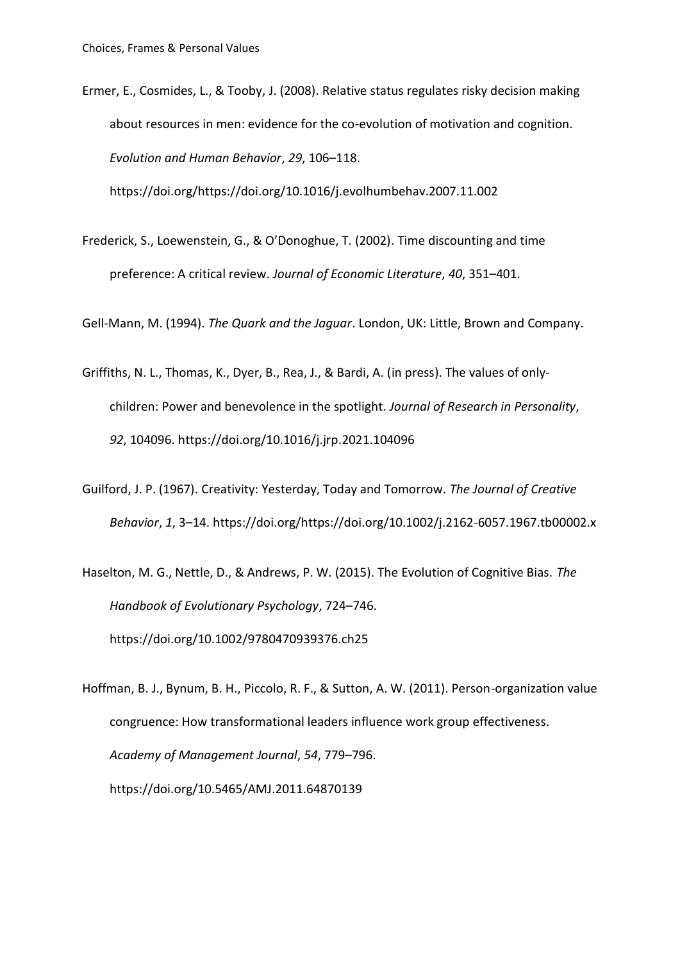Ermer, E., Cosmides, L., & Tooby, J. (2008). Relative status regulates risky decision making about resources in men: evidence for the co-evolution of motivation and cognition. *Evolution and Human Behavior*, *29*, 106–118.

https://doi.org/https://doi.org/10.1016/j.evolhumbehav.2007.11.002

Frederick, S., Loewenstein, G., & O'Donoghue, T. (2002). Time discounting and time preference: A critical review. *Journal of Economic Literature*, *40*, 351–401.

Gell-Mann, M. (1994). *The Quark and the Jaguar*. London, UK: Little, Brown and Company.

- Griffiths, N. L., Thomas, K., Dyer, B., Rea, J., & Bardi, A. (in press). The values of onlychildren: Power and benevolence in the spotlight. *Journal of Research in Personality*, *92*, 104096. https://doi.org/10.1016/j.jrp.2021.104096
- Guilford, J. P. (1967). Creativity: Yesterday, Today and Tomorrow. *The Journal of Creative Behavior*, *1*, 3–14. https://doi.org/https://doi.org/10.1002/j.2162-6057.1967.tb00002.x
- Haselton, M. G., Nettle, D., & Andrews, P. W. (2015). The Evolution of Cognitive Bias. *The Handbook of Evolutionary Psychology*, 724–746. https://doi.org/10.1002/9780470939376.ch25

Hoffman, B. J., Bynum, B. H., Piccolo, R. F., & Sutton, A. W. (2011). Person-organization value congruence: How transformational leaders influence work group effectiveness. *Academy of Management Journal*, *54*, 779–796. https://doi.org/10.5465/AMJ.2011.64870139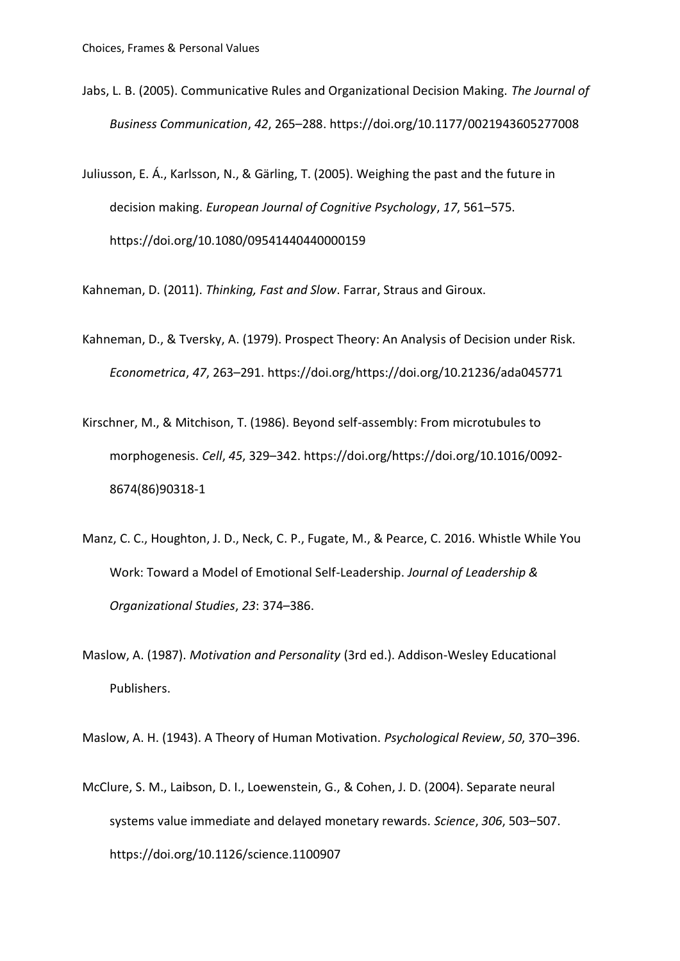- Jabs, L. B. (2005). Communicative Rules and Organizational Decision Making. *The Journal of Business Communication*, *42*, 265–288. https://doi.org/10.1177/0021943605277008
- Juliusson, E. Á., Karlsson, N., & Gärling, T. (2005). Weighing the past and the future in decision making. *European Journal of Cognitive Psychology*, *17*, 561–575. https://doi.org/10.1080/09541440440000159

Kahneman, D. (2011). *Thinking, Fast and Slow*. Farrar, Straus and Giroux.

- Kahneman, D., & Tversky, A. (1979). Prospect Theory: An Analysis of Decision under Risk. *Econometrica*, *47*, 263–291. https://doi.org/https://doi.org/10.21236/ada045771
- Kirschner, M., & Mitchison, T. (1986). Beyond self-assembly: From microtubules to morphogenesis. *Cell*, *45*, 329–342. https://doi.org/https://doi.org/10.1016/0092- 8674(86)90318-1
- Manz, C. C., Houghton, J. D., Neck, C. P., Fugate, M., & Pearce, C. 2016. Whistle While You Work: Toward a Model of Emotional Self-Leadership. *Journal of Leadership & Organizational Studies*, *23*: 374–386.
- Maslow, A. (1987). *Motivation and Personality* (3rd ed.). Addison-Wesley Educational Publishers.

Maslow, A. H. (1943). A Theory of Human Motivation. *Psychological Review*, *50*, 370–396.

McClure, S. M., Laibson, D. I., Loewenstein, G., & Cohen, J. D. (2004). Separate neural systems value immediate and delayed monetary rewards. *Science*, *306*, 503–507. https://doi.org/10.1126/science.1100907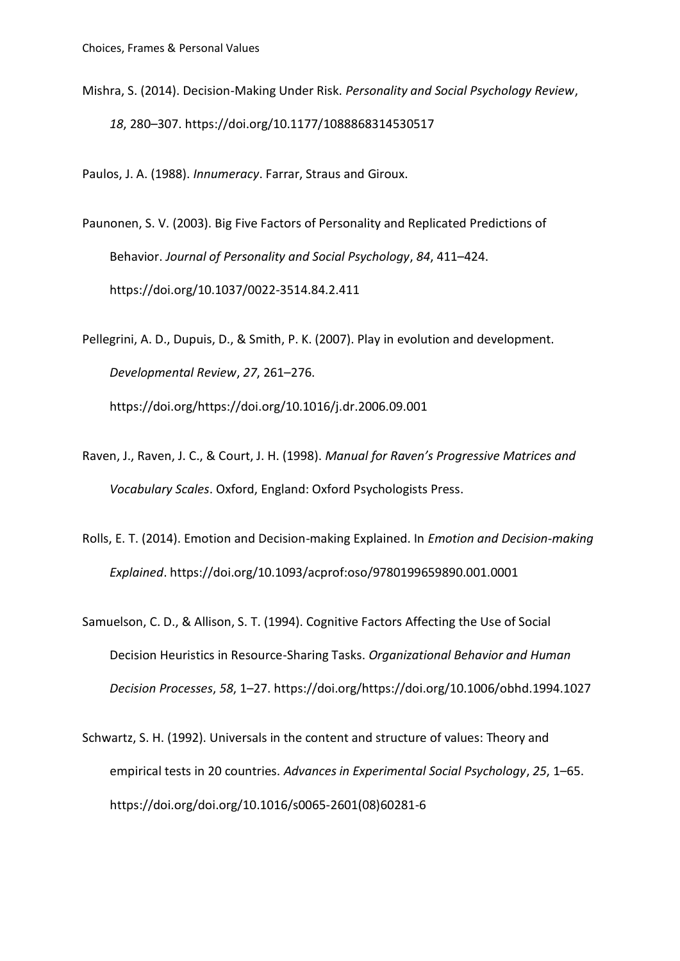Mishra, S. (2014). Decision-Making Under Risk. *Personality and Social Psychology Review*, *18*, 280–307. https://doi.org/10.1177/1088868314530517

Paulos, J. A. (1988). *Innumeracy*. Farrar, Straus and Giroux.

- Paunonen, S. V. (2003). Big Five Factors of Personality and Replicated Predictions of Behavior. *Journal of Personality and Social Psychology*, *84*, 411–424. https://doi.org/10.1037/0022-3514.84.2.411
- Pellegrini, A. D., Dupuis, D., & Smith, P. K. (2007). Play in evolution and development. *Developmental Review*, *27*, 261–276. https://doi.org/https://doi.org/10.1016/j.dr.2006.09.001
- Raven, J., Raven, J. C., & Court, J. H. (1998). *Manual for Raven's Progressive Matrices and Vocabulary Scales*. Oxford, England: Oxford Psychologists Press.
- Rolls, E. T. (2014). Emotion and Decision-making Explained. In *Emotion and Decision-making Explained*. https://doi.org/10.1093/acprof:oso/9780199659890.001.0001
- Samuelson, C. D., & Allison, S. T. (1994). Cognitive Factors Affecting the Use of Social Decision Heuristics in Resource-Sharing Tasks. *Organizational Behavior and Human Decision Processes*, *58*, 1–27. https://doi.org/https://doi.org/10.1006/obhd.1994.1027
- Schwartz, S. H. (1992). Universals in the content and structure of values: Theory and empirical tests in 20 countries. *Advances in Experimental Social Psychology*, *25*, 1–65. https://doi.org/doi.org/10.1016/s0065-2601(08)60281-6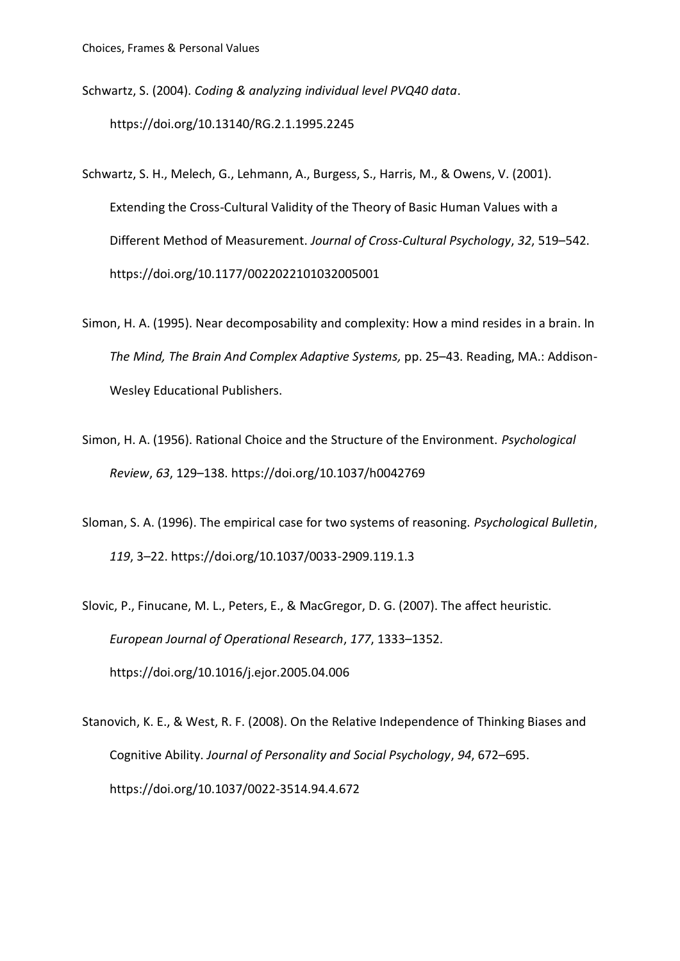Schwartz, S. (2004). *Coding & analyzing individual level PVQ40 data*. https://doi.org/10.13140/RG.2.1.1995.2245

- Schwartz, S. H., Melech, G., Lehmann, A., Burgess, S., Harris, M., & Owens, V. (2001). Extending the Cross-Cultural Validity of the Theory of Basic Human Values with a Different Method of Measurement. *Journal of Cross-Cultural Psychology*, *32*, 519–542. https://doi.org/10.1177/0022022101032005001
- Simon, H. A. (1995). Near decomposability and complexity: How a mind resides in a brain. In *The Mind, The Brain And Complex Adaptive Systems,* pp. 25–43. Reading, MA.: Addison-Wesley Educational Publishers.
- Simon, H. A. (1956). Rational Choice and the Structure of the Environment. *Psychological Review*, *63*, 129–138. https://doi.org/10.1037/h0042769
- Sloman, S. A. (1996). The empirical case for two systems of reasoning. *Psychological Bulletin*, *119*, 3–22. https://doi.org/10.1037/0033-2909.119.1.3
- Slovic, P., Finucane, M. L., Peters, E., & MacGregor, D. G. (2007). The affect heuristic. *European Journal of Operational Research*, *177*, 1333–1352. https://doi.org/10.1016/j.ejor.2005.04.006
- Stanovich, K. E., & West, R. F. (2008). On the Relative Independence of Thinking Biases and Cognitive Ability. *Journal of Personality and Social Psychology*, *94*, 672–695. https://doi.org/10.1037/0022-3514.94.4.672